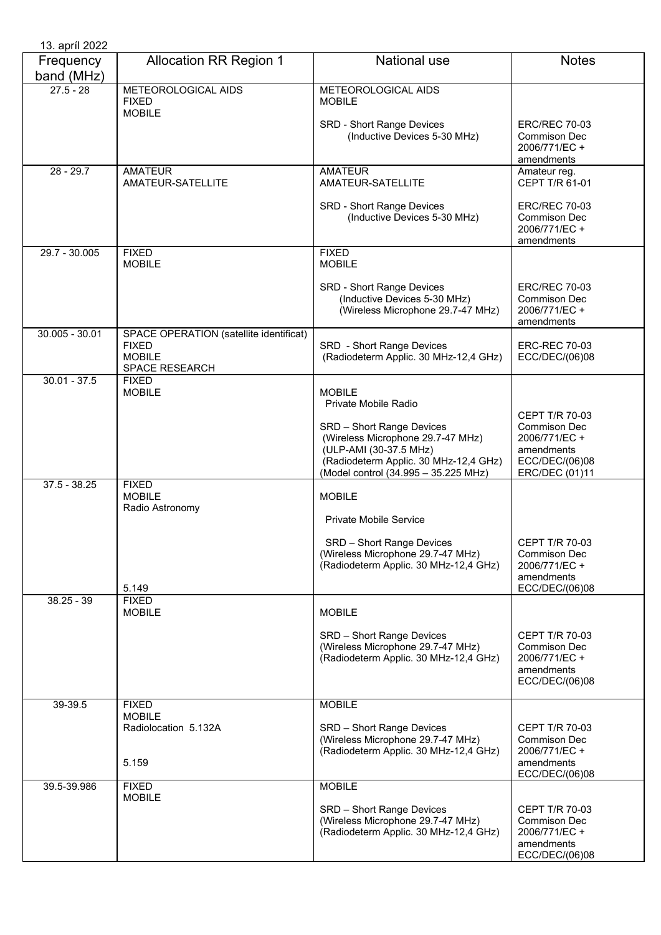| 13. apríl 2022          |                                                                                            |                                                                                                                                                                           |                                                                                               |
|-------------------------|--------------------------------------------------------------------------------------------|---------------------------------------------------------------------------------------------------------------------------------------------------------------------------|-----------------------------------------------------------------------------------------------|
| Frequency<br>band (MHz) | <b>Allocation RR Region 1</b>                                                              | National use                                                                                                                                                              | <b>Notes</b>                                                                                  |
| $27.5 - 28$             | METEOROLOGICAL AIDS<br><b>FIXED</b><br><b>MOBILE</b>                                       | METEOROLOGICAL AIDS<br><b>MOBILE</b>                                                                                                                                      |                                                                                               |
|                         |                                                                                            | SRD - Short Range Devices<br>(Inductive Devices 5-30 MHz)                                                                                                                 | <b>ERC/REC 70-03</b><br>Commison Dec<br>2006/771/EC +<br>amendments                           |
| $28 - 29.7$             | <b>AMATEUR</b><br>AMATEUR-SATELLITE                                                        | <b>AMATEUR</b><br>AMATEUR-SATELLITE                                                                                                                                       | Amateur reg.<br>CEPT T/R 61-01                                                                |
|                         |                                                                                            | <b>SRD - Short Range Devices</b><br>(Inductive Devices 5-30 MHz)                                                                                                          | <b>ERC/REC 70-03</b><br><b>Commison Dec</b><br>2006/771/EC +<br>amendments                    |
| 29.7 - 30.005           | <b>FIXED</b><br><b>MOBILE</b>                                                              | <b>FIXED</b><br><b>MOBILE</b>                                                                                                                                             |                                                                                               |
|                         |                                                                                            | <b>SRD - Short Range Devices</b><br>(Inductive Devices 5-30 MHz)<br>(Wireless Microphone 29.7-47 MHz)                                                                     | <b>ERC/REC 70-03</b><br><b>Commison Dec</b><br>2006/771/EC +<br>amendments                    |
| 30.005 - 30.01          | SPACE OPERATION (satellite identificat)<br><b>FIXED</b><br><b>MOBILE</b><br>SPACE RESEARCH | SRD - Short Range Devices<br>(Radiodeterm Applic. 30 MHz-12,4 GHz)                                                                                                        | <b>ERC-REC 70-03</b><br>ECC/DEC/(06)08                                                        |
| $30.01 - 37.5$          | <b>FIXED</b><br><b>MOBILE</b>                                                              | <b>MOBILE</b><br>Private Mobile Radio                                                                                                                                     | <b>CEPT T/R 70-03</b>                                                                         |
|                         |                                                                                            | SRD - Short Range Devices<br>(Wireless Microphone 29.7-47 MHz)<br>(ULP-AMI (30-37.5 MHz)<br>(Radiodeterm Applic. 30 MHz-12,4 GHz)<br>(Model control (34.995 - 35.225 MHz) | <b>Commison Dec</b><br>2006/771/EC +<br>amendments<br>ECC/DEC/(06)08<br>ERC/DEC (01)11        |
| $37.5 - 38.25$          | <b>FIXED</b><br><b>MOBILE</b><br>Radio Astronomy                                           | <b>MOBILE</b>                                                                                                                                                             |                                                                                               |
|                         |                                                                                            | Private Mobile Service                                                                                                                                                    |                                                                                               |
|                         | 5.149                                                                                      | SRD - Short Range Devices<br>(Wireless Microphone 29.7-47 MHz)<br>(Radiodeterm Applic. 30 MHz-12,4 GHz)                                                                   | CEPT T/R 70-03<br>Commison Dec<br>2006/771/EC +<br>amendments<br>ECC/DEC/(06)08               |
| $38.25 - 39$            | <b>FIXED</b><br><b>MOBILE</b>                                                              | <b>MOBILE</b>                                                                                                                                                             |                                                                                               |
|                         |                                                                                            | SRD - Short Range Devices<br>(Wireless Microphone 29.7-47 MHz)<br>(Radiodeterm Applic. 30 MHz-12,4 GHz)                                                                   | <b>CEPT T/R 70-03</b><br>Commison Dec<br>2006/771/EC +<br>amendments<br>ECC/DEC/(06)08        |
| 39-39.5                 | <b>FIXED</b><br><b>MOBILE</b>                                                              | <b>MOBILE</b>                                                                                                                                                             |                                                                                               |
|                         | Radiolocation 5.132A<br>5.159                                                              | SRD - Short Range Devices<br>(Wireless Microphone 29.7-47 MHz)<br>(Radiodeterm Applic. 30 MHz-12,4 GHz)                                                                   | <b>CEPT T/R 70-03</b><br><b>Commison Dec</b><br>2006/771/EC +<br>amendments<br>ECC/DEC/(06)08 |
| 39.5-39.986             | <b>FIXED</b>                                                                               | <b>MOBILE</b>                                                                                                                                                             |                                                                                               |
|                         | <b>MOBILE</b>                                                                              | SRD - Short Range Devices<br>(Wireless Microphone 29.7-47 MHz)<br>(Radiodeterm Applic. 30 MHz-12,4 GHz)                                                                   | <b>CEPT T/R 70-03</b><br>Commison Dec<br>2006/771/EC +<br>amendments<br>ECC/DEC/(06)08        |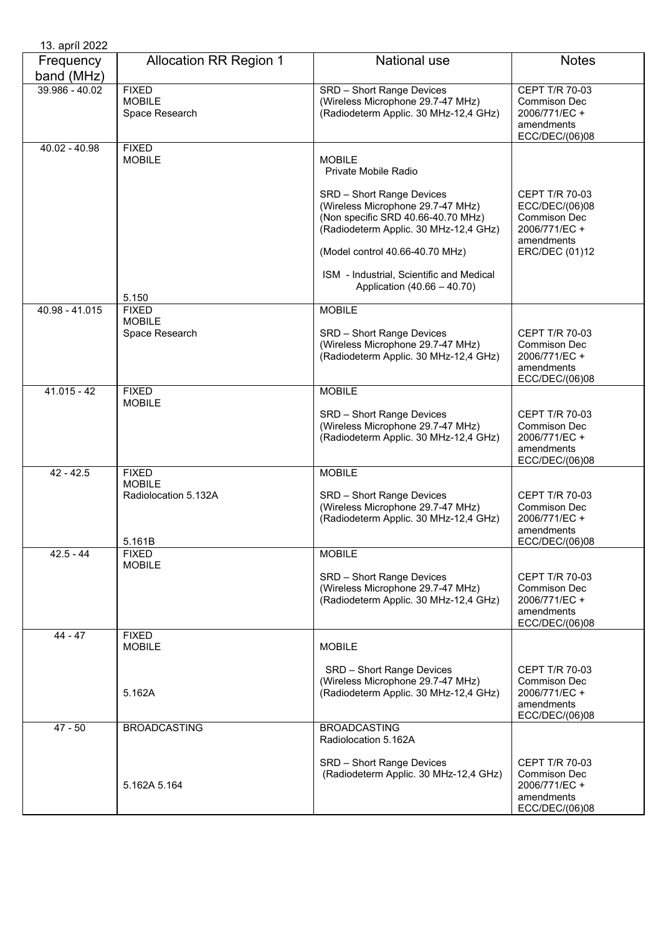| 13. apríl 2022          |                                                                 |                                                                                                                                               |                                                                                               |
|-------------------------|-----------------------------------------------------------------|-----------------------------------------------------------------------------------------------------------------------------------------------|-----------------------------------------------------------------------------------------------|
| Frequency<br>band (MHz) | <b>Allocation RR Region 1</b>                                   | <b>National use</b>                                                                                                                           | <b>Notes</b>                                                                                  |
| 39.986 - 40.02          | <b>FIXED</b><br><b>MOBILE</b><br>Space Research                 | SRD - Short Range Devices<br>(Wireless Microphone 29.7-47 MHz)<br>(Radiodeterm Applic. 30 MHz-12,4 GHz)                                       | CEPT T/R 70-03<br><b>Commison Dec</b><br>2006/771/EC +<br>amendments<br>ECC/DEC/(06)08        |
| 40.02 - 40.98           | <b>FIXED</b><br><b>MOBILE</b>                                   | <b>MOBILE</b><br>Private Mobile Radio                                                                                                         |                                                                                               |
|                         |                                                                 | SRD - Short Range Devices<br>(Wireless Microphone 29.7-47 MHz)<br>(Non specific SRD 40.66-40.70 MHz)<br>(Radiodeterm Applic. 30 MHz-12,4 GHz) | <b>CEPT T/R 70-03</b><br>ECC/DEC/(06)08<br><b>Commison Dec</b><br>2006/771/EC +<br>amendments |
|                         |                                                                 | (Model control 40.66-40.70 MHz)<br>ISM - Industrial, Scientific and Medical                                                                   | ERC/DEC (01)12                                                                                |
|                         | 5.150                                                           | Application (40.66 - 40.70)                                                                                                                   |                                                                                               |
| 40.98 - 41.015          | <b>FIXED</b><br><b>MOBILE</b>                                   | <b>MOBILE</b>                                                                                                                                 |                                                                                               |
|                         | Space Research                                                  | SRD - Short Range Devices<br>(Wireless Microphone 29.7-47 MHz)<br>(Radiodeterm Applic. 30 MHz-12,4 GHz)                                       | <b>CEPT T/R 70-03</b><br>Commison Dec<br>2006/771/EC +<br>amendments<br>ECC/DEC/(06)08        |
| $41.015 - 42$           | <b>FIXED</b><br><b>MOBILE</b>                                   | <b>MOBILE</b>                                                                                                                                 |                                                                                               |
|                         |                                                                 | SRD - Short Range Devices<br>(Wireless Microphone 29.7-47 MHz)<br>(Radiodeterm Applic. 30 MHz-12,4 GHz)                                       | <b>CEPT T/R 70-03</b><br>Commison Dec<br>2006/771/EC +<br>amendments<br>ECC/DEC/(06)08        |
| $42 - 42.5$             | <b>FIXED</b><br><b>MOBILE</b><br>Radiolocation 5.132A<br>5.161B | <b>MOBILE</b><br>SRD - Short Range Devices<br>(Wireless Microphone 29.7-47 MHz)<br>(Radiodeterm Applic. 30 MHz-12,4 GHz)                      | CEPT T/R 70-03<br><b>Commison Dec</b><br>2006/771/EC +<br>amendments<br>ECC/DEC/(06)08        |
| $42.5 - 44$             | <b>FIXED</b><br><b>MOBILE</b>                                   | <b>MOBILE</b>                                                                                                                                 |                                                                                               |
|                         |                                                                 | SRD - Short Range Devices<br>(Wireless Microphone 29.7-47 MHz)<br>(Radiodeterm Applic. 30 MHz-12,4 GHz)                                       | <b>CEPT T/R 70-03</b><br><b>Commison Dec</b><br>2006/771/EC +<br>amendments<br>ECC/DEC/(06)08 |
| $44 - 47$               | <b>FIXED</b><br><b>MOBILE</b>                                   | <b>MOBILE</b>                                                                                                                                 |                                                                                               |
|                         | 5.162A                                                          | SRD - Short Range Devices<br>(Wireless Microphone 29.7-47 MHz)<br>(Radiodeterm Applic. 30 MHz-12,4 GHz)                                       | <b>CEPT T/R 70-03</b><br><b>Commison Dec</b><br>2006/771/EC +<br>amendments<br>ECC/DEC/(06)08 |
| $47 - 50$               | <b>BROADCASTING</b>                                             | <b>BROADCASTING</b><br>Radiolocation 5.162A                                                                                                   |                                                                                               |
|                         | 5.162A 5.164                                                    | SRD - Short Range Devices<br>(Radiodeterm Applic. 30 MHz-12,4 GHz)                                                                            | <b>CEPT T/R 70-03</b><br>Commison Dec<br>2006/771/EC +<br>amendments<br>ECC/DEC/(06)08        |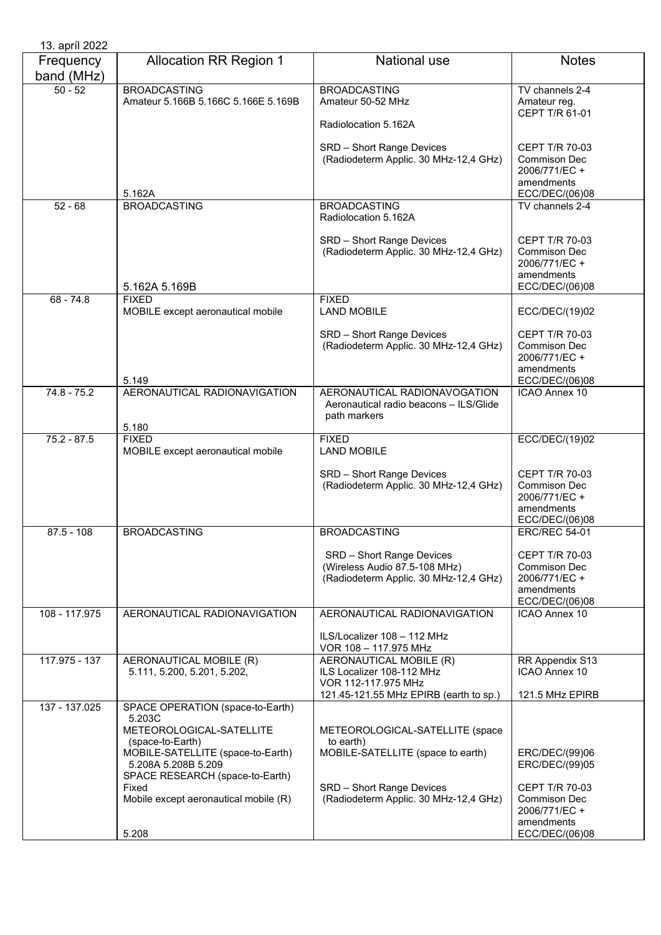| 13. apríl 2022          |                                                                                                                                                                                                         |                                                                                                                                                         |                                                                                                          |
|-------------------------|---------------------------------------------------------------------------------------------------------------------------------------------------------------------------------------------------------|---------------------------------------------------------------------------------------------------------------------------------------------------------|----------------------------------------------------------------------------------------------------------|
| Frequency<br>band (MHz) | <b>Allocation RR Region 1</b>                                                                                                                                                                           | <b>National use</b>                                                                                                                                     | <b>Notes</b>                                                                                             |
| $50 - 52$               | <b>BROADCASTING</b><br>Amateur 5.166B 5.166C 5.166E 5.169B                                                                                                                                              | <b>BROADCASTING</b><br>Amateur 50-52 MHz<br>Radiolocation 5.162A                                                                                        | TV channels 2-4<br>Amateur reg.<br>CEPT T/R 61-01                                                        |
|                         | 5.162A                                                                                                                                                                                                  | SRD - Short Range Devices<br>(Radiodeterm Applic. 30 MHz-12,4 GHz)                                                                                      | <b>CEPT T/R 70-03</b><br><b>Commison Dec</b><br>2006/771/EC +<br>amendments<br>ECC/DEC/(06)08            |
| $52 - 68$               | <b>BROADCASTING</b>                                                                                                                                                                                     | <b>BROADCASTING</b>                                                                                                                                     | TV channels 2-4                                                                                          |
|                         | 5.162A 5.169B                                                                                                                                                                                           | Radiolocation 5.162A<br>SRD - Short Range Devices<br>(Radiodeterm Applic. 30 MHz-12,4 GHz)                                                              | <b>CEPT T/R 70-03</b><br><b>Commison Dec</b><br>2006/771/EC+<br>amendments<br>ECC/DEC/(06)08             |
| $68 - 74.8$             | <b>FIXED</b>                                                                                                                                                                                            | <b>FIXED</b>                                                                                                                                            |                                                                                                          |
|                         | MOBILE except aeronautical mobile                                                                                                                                                                       | <b>LAND MOBILE</b>                                                                                                                                      | ECC/DEC/(19)02                                                                                           |
|                         | 5.149                                                                                                                                                                                                   | SRD - Short Range Devices<br>(Radiodeterm Applic. 30 MHz-12,4 GHz)                                                                                      | CEPT T/R 70-03<br><b>Commison Dec</b><br>2006/771/EC+<br>amendments<br>ECC/DEC/(06)08                    |
| $74.8 - 75.2$           | AERONAUTICAL RADIONAVIGATION<br>5.180                                                                                                                                                                   | AERONAUTICAL RADIONAVOGATION<br>Aeronautical radio beacons - ILS/Glide<br>path markers                                                                  | ICAO Annex 10                                                                                            |
| $75.2 - 87.5$           | <b>FIXED</b><br>MOBILE except aeronautical mobile                                                                                                                                                       | <b>FIXED</b><br><b>LAND MOBILE</b>                                                                                                                      | ECC/DEC/(19)02                                                                                           |
|                         |                                                                                                                                                                                                         | SRD - Short Range Devices<br>(Radiodeterm Applic. 30 MHz-12,4 GHz)                                                                                      | <b>CEPT T/R 70-03</b><br><b>Commison Dec</b><br>2006/771/EC +<br>amendments<br>ECC/DEC/(06)08            |
| $87.5 - 108$            | <b>BROADCASTING</b>                                                                                                                                                                                     | <b>BROADCASTING</b>                                                                                                                                     | <b>ERC/REC 54-01</b>                                                                                     |
|                         |                                                                                                                                                                                                         | SRD - Short Range Devices<br>(Wireless Audio 87.5-108 MHz)<br>(Radiodeterm Applic. 30 MHz-12,4 GHz)                                                     | <b>CEPT T/R 70-03</b><br>Commison Dec<br>2006/771/EC +<br>amendments<br>ECC/DEC/(06)08                   |
| 108 - 117.975           | AERONAUTICAL RADIONAVIGATION                                                                                                                                                                            | AERONAUTICAL RADIONAVIGATION<br>ILS/Localizer 108 - 112 MHz<br>VOR 108 - 117.975 MHz                                                                    | ICAO Annex 10                                                                                            |
| 117.975 - 137           | AERONAUTICAL MOBILE (R)<br>5.111, 5.200, 5.201, 5.202,                                                                                                                                                  | AERONAUTICAL MOBILE (R)<br>ILS Localizer 108-112 MHz<br>VOR 112-117.975 MHz<br>121.45-121.55 MHz EPIRB (earth to sp.)                                   | RR Appendix S13<br><b>ICAO Annex 10</b><br>121.5 MHz EPIRB                                               |
| 137 - 137.025           | SPACE OPERATION (space-to-Earth)                                                                                                                                                                        |                                                                                                                                                         |                                                                                                          |
|                         | 5.203C<br>METEOROLOGICAL-SATELLITE<br>(space-to-Earth)<br>MOBILE-SATELLITE (space-to-Earth)<br>5.208A 5.208B 5.209<br>SPACE RESEARCH (space-to-Earth)<br>Fixed<br>Mobile except aeronautical mobile (R) | METEOROLOGICAL-SATELLITE (space<br>to earth)<br>MOBILE-SATELLITE (space to earth)<br>SRD - Short Range Devices<br>(Radiodeterm Applic. 30 MHz-12,4 GHz) | ERC/DEC/(99)06<br>ERC/DEC/(99)05<br><b>CEPT T/R 70-03</b><br>Commison Dec<br>2006/771/EC +<br>amendments |
|                         | 5.208                                                                                                                                                                                                   |                                                                                                                                                         | ECC/DEC/(06)08                                                                                           |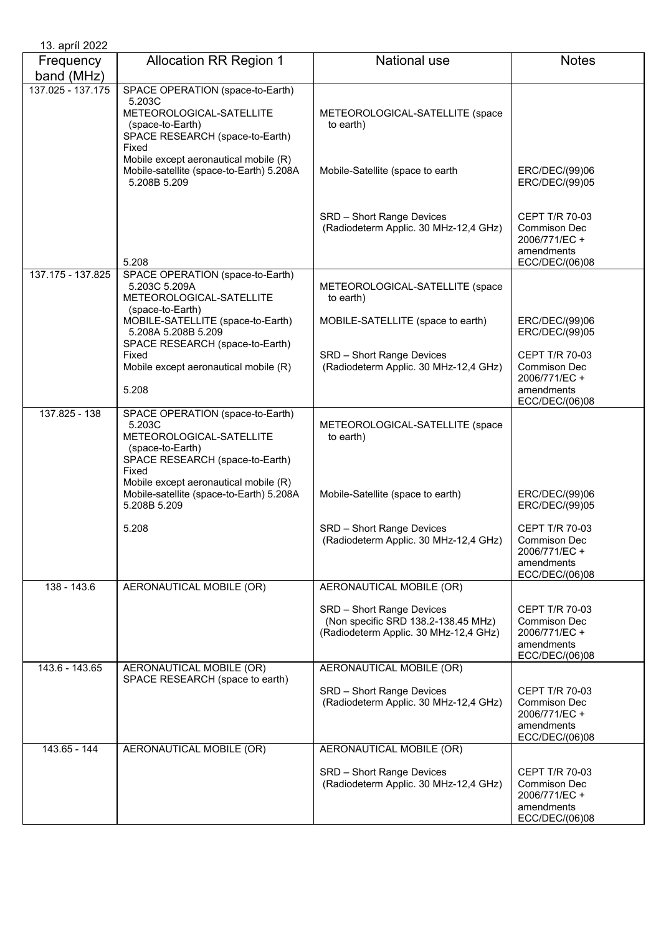| 13. april 2022          |                                                                                                                                        |                                                                                                           |                                                                                               |
|-------------------------|----------------------------------------------------------------------------------------------------------------------------------------|-----------------------------------------------------------------------------------------------------------|-----------------------------------------------------------------------------------------------|
| Frequency<br>band (MHz) | <b>Allocation RR Region 1</b>                                                                                                          | <b>National use</b>                                                                                       | <b>Notes</b>                                                                                  |
| 137.025 - 137.175       | SPACE OPERATION (space-to-Earth)<br>5.203C<br>METEOROLOGICAL-SATELLITE<br>(space-to-Earth)<br>SPACE RESEARCH (space-to-Earth)<br>Fixed | METEOROLOGICAL-SATELLITE (space<br>to earth)                                                              |                                                                                               |
|                         | Mobile except aeronautical mobile (R)<br>Mobile-satellite (space-to-Earth) 5.208A<br>5.208B 5.209                                      | Mobile-Satellite (space to earth                                                                          | ERC/DEC/(99)06<br>ERC/DEC/(99)05                                                              |
|                         | 5.208                                                                                                                                  | SRD - Short Range Devices<br>(Radiodeterm Applic. 30 MHz-12,4 GHz)                                        | CEPT T/R 70-03<br><b>Commison Dec</b><br>2006/771/EC +<br>amendments<br>ECC/DEC/(06)08        |
| 137.175 - 137.825       | SPACE OPERATION (space-to-Earth)<br>5.203C 5.209A<br>METEOROLOGICAL-SATELLITE<br>(space-to-Earth)                                      | METEOROLOGICAL-SATELLITE (space<br>to earth)                                                              |                                                                                               |
|                         | MOBILE-SATELLITE (space-to-Earth)<br>5.208A 5.208B 5.209<br>SPACE RESEARCH (space-to-Earth)                                            | MOBILE-SATELLITE (space to earth)                                                                         | ERC/DEC/(99)06<br>ERC/DEC/(99)05                                                              |
|                         | Fixed<br>Mobile except aeronautical mobile (R)<br>5.208                                                                                | SRD - Short Range Devices<br>(Radiodeterm Applic. 30 MHz-12,4 GHz)                                        | CEPT T/R 70-03<br><b>Commison Dec</b><br>2006/771/EC +<br>amendments                          |
|                         |                                                                                                                                        |                                                                                                           | ECC/DEC/(06)08                                                                                |
| 137.825 - 138           | SPACE OPERATION (space-to-Earth)<br>5.203C<br>METEOROLOGICAL-SATELLITE<br>(space-to-Earth)<br>SPACE RESEARCH (space-to-Earth)<br>Fixed | METEOROLOGICAL-SATELLITE (space<br>to earth)                                                              |                                                                                               |
|                         | Mobile except aeronautical mobile (R)<br>Mobile-satellite (space-to-Earth) 5.208A<br>5.208B 5.209                                      | Mobile-Satellite (space to earth)                                                                         | ERC/DEC/(99)06<br>ERC/DEC/(99)05                                                              |
|                         | 5.208                                                                                                                                  | SRD - Short Range Devices<br>(Radiodeterm Applic. 30 MHz-12,4 GHz)                                        | <b>CEPT T/R 70-03</b><br>Commison Dec<br>2006/771/EC+<br>amendments<br>ECC/DEC/(06)08         |
| $138 - 143.6$           | AERONAUTICAL MOBILE (OR)                                                                                                               | AERONAUTICAL MOBILE (OR)                                                                                  |                                                                                               |
|                         |                                                                                                                                        | SRD - Short Range Devices<br>(Non specific SRD 138.2-138.45 MHz)<br>(Radiodeterm Applic. 30 MHz-12,4 GHz) | CEPT T/R 70-03<br><b>Commison Dec</b><br>2006/771/EC +<br>amendments<br>ECC/DEC/(06)08        |
| 143.6 - 143.65          | AERONAUTICAL MOBILE (OR)                                                                                                               | AERONAUTICAL MOBILE (OR)                                                                                  |                                                                                               |
|                         | SPACE RESEARCH (space to earth)                                                                                                        | SRD - Short Range Devices<br>(Radiodeterm Applic. 30 MHz-12,4 GHz)                                        | CEPT T/R 70-03<br><b>Commison Dec</b><br>2006/771/EC +<br>amendments<br>ECC/DEC/(06)08        |
| 143.65 - 144            | AERONAUTICAL MOBILE (OR)                                                                                                               | AERONAUTICAL MOBILE (OR)                                                                                  |                                                                                               |
|                         |                                                                                                                                        | SRD - Short Range Devices<br>(Radiodeterm Applic. 30 MHz-12,4 GHz)                                        | <b>CEPT T/R 70-03</b><br><b>Commison Dec</b><br>2006/771/EC +<br>amendments<br>ECC/DEC/(06)08 |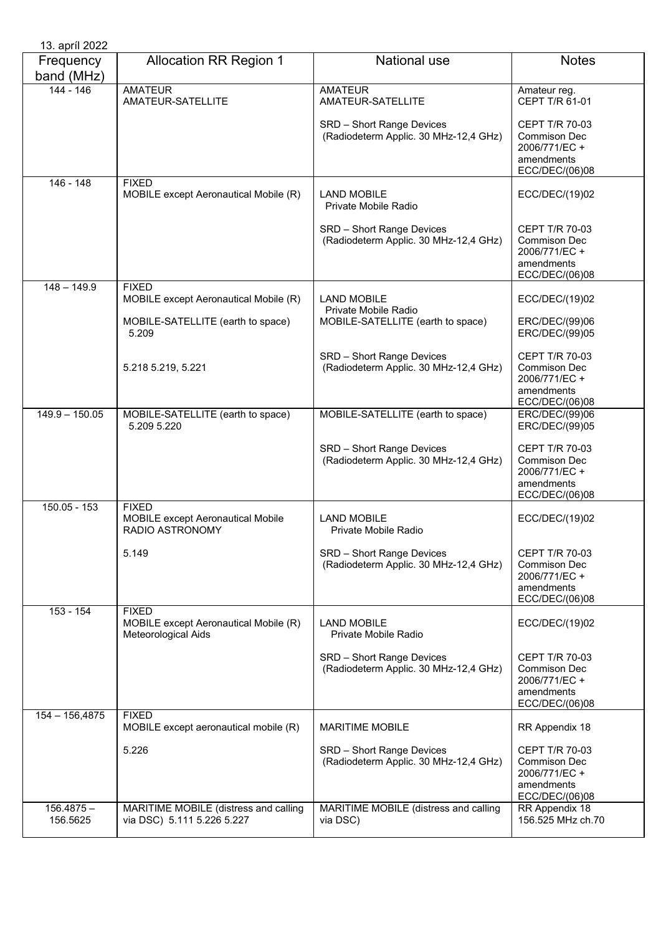| 13. apríl 2022           |                                                                              |                                                                    |                                                                                               |
|--------------------------|------------------------------------------------------------------------------|--------------------------------------------------------------------|-----------------------------------------------------------------------------------------------|
| Frequency<br>band (MHz)  | <b>Allocation RR Region 1</b>                                                | <b>National use</b>                                                | <b>Notes</b>                                                                                  |
| 144 - 146                | <b>AMATEUR</b><br>AMATEUR-SATELLITE                                          | <b>AMATEUR</b><br>AMATEUR-SATELLITE                                | Amateur reg.<br>CEPT T/R 61-01                                                                |
|                          |                                                                              | SRD - Short Range Devices<br>(Radiodeterm Applic. 30 MHz-12,4 GHz) | CEPT T/R 70-03<br><b>Commison Dec</b><br>2006/771/EC +<br>amendments<br>ECC/DEC/(06)08        |
| $146 - 148$              | <b>FIXED</b><br>MOBILE except Aeronautical Mobile (R)                        | <b>LAND MOBILE</b><br>Private Mobile Radio                         | ECC/DEC/(19)02                                                                                |
|                          |                                                                              | SRD - Short Range Devices<br>(Radiodeterm Applic. 30 MHz-12,4 GHz) | <b>CEPT T/R 70-03</b><br><b>Commison Dec</b><br>2006/771/EC +<br>amendments<br>ECC/DEC/(06)08 |
| $148 - 149.9$            | <b>FIXED</b><br>MOBILE except Aeronautical Mobile (R)                        | <b>LAND MOBILE</b><br>Private Mobile Radio                         | ECC/DEC/(19)02                                                                                |
|                          | MOBILE-SATELLITE (earth to space)<br>5.209                                   | MOBILE-SATELLITE (earth to space)                                  | ERC/DEC/(99)06<br>ERC/DEC/(99)05                                                              |
|                          | 5.218 5.219, 5.221                                                           | SRD - Short Range Devices<br>(Radiodeterm Applic. 30 MHz-12,4 GHz) | <b>CEPT T/R 70-03</b><br><b>Commison Dec</b><br>2006/771/EC +<br>amendments<br>ECC/DEC/(06)08 |
| $149.9 - 150.05$         | MOBILE-SATELLITE (earth to space)<br>5.209 5.220                             | MOBILE-SATELLITE (earth to space)                                  | ERC/DEC/(99)06<br>ERC/DEC/(99)05                                                              |
|                          |                                                                              | SRD - Short Range Devices<br>(Radiodeterm Applic. 30 MHz-12,4 GHz) | <b>CEPT T/R 70-03</b><br><b>Commison Dec</b><br>2006/771/EC +<br>amendments<br>ECC/DEC/(06)08 |
| 150.05 - 153             | <b>FIXED</b><br><b>MOBILE except Aeronautical Mobile</b><br>RADIO ASTRONOMY  | <b>LAND MOBILE</b><br>Private Mobile Radio                         | ECC/DEC/(19)02                                                                                |
|                          | 5.149                                                                        | SRD - Short Range Devices<br>(Radiodeterm Applic. 30 MHz-12,4 GHz) | <b>CEPT T/R 70-03</b><br><b>Commison Dec</b><br>2006/771/EC+<br>amendments<br>ECC/DEC/(06)08  |
| 153 - 154                | <b>FIXED</b><br>MOBILE except Aeronautical Mobile (R)<br>Meteorological Aids | <b>LAND MOBILE</b><br>Private Mobile Radio                         | ECC/DEC/(19)02                                                                                |
|                          |                                                                              | SRD - Short Range Devices<br>(Radiodeterm Applic. 30 MHz-12,4 GHz) | <b>CEPT T/R 70-03</b><br><b>Commison Dec</b><br>2006/771/EC +<br>amendments<br>ECC/DEC/(06)08 |
| $154 - 156,4875$         | <b>FIXED</b><br>MOBILE except aeronautical mobile (R)                        | <b>MARITIME MOBILE</b>                                             | RR Appendix 18                                                                                |
|                          | 5.226                                                                        | SRD - Short Range Devices<br>(Radiodeterm Applic. 30 MHz-12,4 GHz) | <b>CEPT T/R 70-03</b><br>Commison Dec<br>2006/771/EC +<br>amendments<br>ECC/DEC/(06)08        |
| $156.4875 -$<br>156.5625 | MARITIME MOBILE (distress and calling<br>via DSC) 5.111 5.226 5.227          | MARITIME MOBILE (distress and calling<br>via DSC)                  | RR Appendix 18<br>156.525 MHz ch.70                                                           |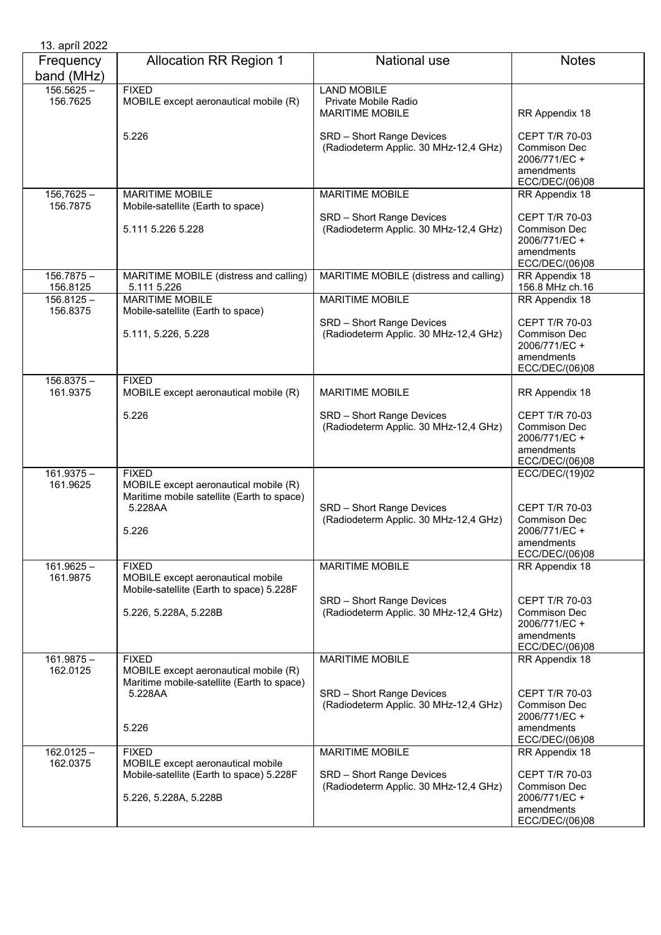| 13. apríl 2022           |                                                                                                     |                                                                      |                                                                                               |
|--------------------------|-----------------------------------------------------------------------------------------------------|----------------------------------------------------------------------|-----------------------------------------------------------------------------------------------|
| Frequency<br>band (MHz)  | <b>Allocation RR Region 1</b>                                                                       | National use                                                         | <b>Notes</b>                                                                                  |
| $156.5625 -$<br>156.7625 | <b>FIXED</b><br>MOBILE except aeronautical mobile (R)                                               | <b>LAND MOBILE</b><br>Private Mobile Radio<br><b>MARITIME MOBILE</b> | RR Appendix 18                                                                                |
|                          | 5.226                                                                                               | SRD - Short Range Devices<br>(Radiodeterm Applic. 30 MHz-12,4 GHz)   | <b>CEPT T/R 70-03</b><br><b>Commison Dec</b><br>2006/771/EC+<br>amendments<br>ECC/DEC/(06)08  |
| $156,7625 -$<br>156.7875 | <b>MARITIME MOBILE</b><br>Mobile-satellite (Earth to space)                                         | <b>MARITIME MOBILE</b>                                               | RR Appendix 18                                                                                |
|                          | 5.111 5.226 5.228                                                                                   | SRD - Short Range Devices<br>(Radiodeterm Applic. 30 MHz-12,4 GHz)   | CEPT T/R 70-03<br><b>Commison Dec</b><br>2006/771/EC +<br>amendments<br>ECC/DEC/(06)08        |
| $156.7875 -$<br>156.8125 | MARITIME MOBILE (distress and calling)<br>5.111 5.226                                               | MARITIME MOBILE (distress and calling)                               | RR Appendix 18<br>156.8 MHz ch.16                                                             |
| $156.8125 -$<br>156.8375 | <b>MARITIME MOBILE</b><br>Mobile-satellite (Earth to space)                                         | <b>MARITIME MOBILE</b>                                               | RR Appendix 18                                                                                |
|                          | 5.111, 5.226, 5.228                                                                                 | SRD - Short Range Devices<br>(Radiodeterm Applic. 30 MHz-12,4 GHz)   | CEPT T/R 70-03<br><b>Commison Dec</b><br>2006/771/EC +<br>amendments<br>ECC/DEC/(06)08        |
| $156.8375 -$<br>161.9375 | <b>FIXED</b><br>MOBILE except aeronautical mobile (R)                                               | <b>MARITIME MOBILE</b>                                               | RR Appendix 18                                                                                |
|                          | 5.226                                                                                               | SRD - Short Range Devices<br>(Radiodeterm Applic. 30 MHz-12,4 GHz)   | <b>CEPT T/R 70-03</b><br><b>Commison Dec</b><br>2006/771/EC +<br>amendments<br>ECC/DEC/(06)08 |
| $161.9375 -$<br>161.9625 | <b>FIXED</b><br>MOBILE except aeronautical mobile (R)<br>Maritime mobile satellite (Earth to space) |                                                                      | ECC/DEC/(19)02                                                                                |
|                          | 5.228AA<br>5.226                                                                                    | SRD - Short Range Devices<br>(Radiodeterm Applic. 30 MHz-12,4 GHz)   | <b>CEPT T/R 70-03</b><br><b>Commison Dec</b><br>2006/771/EC +<br>amendments<br>ECC/DEC/(06)08 |
| $161.9625 -$<br>161.9875 | <b>FIXED</b><br>MOBILE except aeronautical mobile<br>Mobile-satellite (Earth to space) 5.228F       | <b>MARITIME MOBILE</b>                                               | RR Appendix 18                                                                                |
|                          | 5.226, 5.228A, 5.228B                                                                               | SRD - Short Range Devices<br>(Radiodeterm Applic. 30 MHz-12,4 GHz)   | CEPT T/R 70-03<br><b>Commison Dec</b><br>2006/771/EC +<br>amendments<br>ECC/DEC/(06)08        |
| $161.9875 -$<br>162.0125 | <b>FIXED</b><br>MOBILE except aeronautical mobile (R)<br>Maritime mobile-satellite (Earth to space) | <b>MARITIME MOBILE</b>                                               | RR Appendix 18                                                                                |
|                          | 5.228AA<br>5.226                                                                                    | SRD - Short Range Devices<br>(Radiodeterm Applic. 30 MHz-12,4 GHz)   | <b>CEPT T/R 70-03</b><br><b>Commison Dec</b><br>2006/771/EC +<br>amendments<br>ECC/DEC/(06)08 |
| $162.0125 -$<br>162.0375 | <b>FIXED</b><br>MOBILE except aeronautical mobile                                                   | <b>MARITIME MOBILE</b>                                               | RR Appendix 18                                                                                |
|                          | Mobile-satellite (Earth to space) 5.228F<br>5.226, 5.228A, 5.228B                                   | SRD - Short Range Devices<br>(Radiodeterm Applic. 30 MHz-12,4 GHz)   | CEPT T/R 70-03<br><b>Commison Dec</b><br>2006/771/EC +<br>amendments<br>ECC/DEC/(06)08        |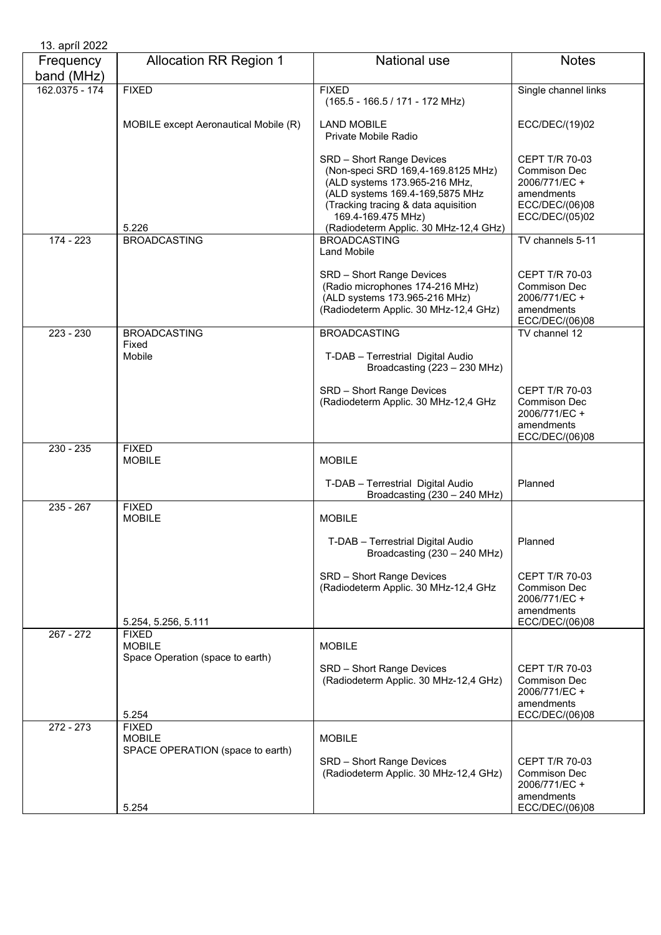| 13. apríl 2022          |                                                   |                                                                                                                                                                                                                                           |                                                                                                         |
|-------------------------|---------------------------------------------------|-------------------------------------------------------------------------------------------------------------------------------------------------------------------------------------------------------------------------------------------|---------------------------------------------------------------------------------------------------------|
| Frequency<br>band (MHz) | <b>Allocation RR Region 1</b>                     | National use                                                                                                                                                                                                                              | <b>Notes</b>                                                                                            |
| 162.0375 - 174          | <b>FIXED</b>                                      | <b>FIXED</b><br>(165.5 - 166.5 / 171 - 172 MHz)                                                                                                                                                                                           | Single channel links                                                                                    |
|                         | MOBILE except Aeronautical Mobile (R)             | <b>LAND MOBILE</b><br>Private Mobile Radio                                                                                                                                                                                                | ECC/DEC/(19)02                                                                                          |
|                         | 5.226                                             | SRD - Short Range Devices<br>(Non-speci SRD 169,4-169.8125 MHz)<br>(ALD systems 173.965-216 MHz,<br>(ALD systems 169.4-169,5875 MHz<br>(Tracking tracing & data aquisition<br>169.4-169.475 MHz)<br>(Radiodeterm Applic. 30 MHz-12,4 GHz) | CEPT T/R 70-03<br><b>Commison Dec</b><br>2006/771/EC+<br>amendments<br>ECC/DEC/(06)08<br>ECC/DEC/(05)02 |
| 174 - 223               | <b>BROADCASTING</b>                               | <b>BROADCASTING</b><br><b>Land Mobile</b>                                                                                                                                                                                                 | TV channels 5-11                                                                                        |
|                         |                                                   | SRD - Short Range Devices<br>(Radio microphones 174-216 MHz)<br>(ALD systems 173.965-216 MHz)<br>(Radiodeterm Applic. 30 MHz-12,4 GHz)                                                                                                    | CEPT T/R 70-03<br><b>Commison Dec</b><br>2006/771/EC +<br>amendments<br>ECC/DEC/(06)08                  |
| $223 - 230$             | <b>BROADCASTING</b>                               | <b>BROADCASTING</b>                                                                                                                                                                                                                       | TV channel 12                                                                                           |
|                         | Fixed<br>Mobile                                   | T-DAB - Terrestrial Digital Audio<br>Broadcasting (223 - 230 MHz)                                                                                                                                                                         |                                                                                                         |
|                         |                                                   | SRD - Short Range Devices<br>(Radiodeterm Applic. 30 MHz-12,4 GHz                                                                                                                                                                         | CEPT T/R 70-03<br><b>Commison Dec</b><br>2006/771/EC +<br>amendments<br>ECC/DEC/(06)08                  |
| $230 - 235$             | <b>FIXED</b><br><b>MOBILE</b>                     | <b>MOBILE</b>                                                                                                                                                                                                                             |                                                                                                         |
|                         |                                                   | T-DAB - Terrestrial Digital Audio<br>Broadcasting (230 - 240 MHz)                                                                                                                                                                         | Planned                                                                                                 |
| $235 - 267$             | <b>FIXED</b><br><b>MOBILE</b>                     | <b>MOBILE</b>                                                                                                                                                                                                                             |                                                                                                         |
|                         |                                                   | T-DAB - Terrestrial Digital Audio<br>Broadcasting (230 - 240 MHz)                                                                                                                                                                         | Planned                                                                                                 |
|                         |                                                   | SRD - Short Range Devices<br>(Radiodeterm Applic. 30 MHz-12,4 GHz                                                                                                                                                                         | CEPT T/R 70-03<br>Commison Dec<br>2006/771/EC+<br>amendments                                            |
| $267 - 272$             | 5.254, 5.256, 5.111<br><b>FIXED</b>               |                                                                                                                                                                                                                                           | ECC/DEC/(06)08                                                                                          |
|                         | <b>MOBILE</b><br>Space Operation (space to earth) | <b>MOBILE</b>                                                                                                                                                                                                                             |                                                                                                         |
|                         | 5.254                                             | SRD - Short Range Devices<br>(Radiodeterm Applic. 30 MHz-12,4 GHz)                                                                                                                                                                        | <b>CEPT T/R 70-03</b><br>Commison Dec<br>2006/771/EC +<br>amendments<br>ECC/DEC/(06)08                  |
| $272 - 273$             | <b>FIXED</b><br><b>MOBILE</b>                     | <b>MOBILE</b>                                                                                                                                                                                                                             |                                                                                                         |
|                         | SPACE OPERATION (space to earth)                  | SRD - Short Range Devices<br>(Radiodeterm Applic. 30 MHz-12,4 GHz)                                                                                                                                                                        | <b>CEPT T/R 70-03</b><br>Commison Dec<br>2006/771/EC +<br>amendments                                    |
|                         | 5.254                                             |                                                                                                                                                                                                                                           | ECC/DEC/(06)08                                                                                          |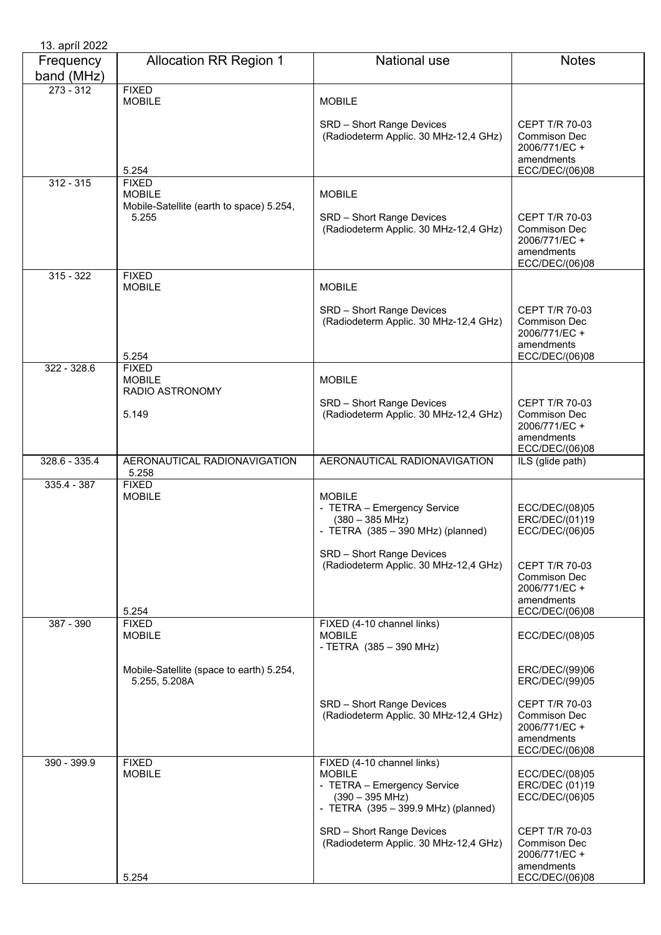| 13. apríl 2022          |                                                                    |                                                                                                                                                                                        |                                                                                                             |
|-------------------------|--------------------------------------------------------------------|----------------------------------------------------------------------------------------------------------------------------------------------------------------------------------------|-------------------------------------------------------------------------------------------------------------|
| Frequency<br>band (MHz) | <b>Allocation RR Region 1</b>                                      | <b>National use</b>                                                                                                                                                                    | <b>Notes</b>                                                                                                |
| $273 - 312$             | <b>FIXED</b><br><b>MOBILE</b>                                      | <b>MOBILE</b>                                                                                                                                                                          |                                                                                                             |
|                         | 5.254                                                              | SRD - Short Range Devices<br>(Radiodeterm Applic. 30 MHz-12,4 GHz)                                                                                                                     | CEPT T/R 70-03<br>Commison Dec<br>2006/771/EC +<br>amendments<br>ECC/DEC/(06)08                             |
| $312 - 315$             | <b>FIXED</b>                                                       |                                                                                                                                                                                        |                                                                                                             |
|                         | <b>MOBILE</b><br>Mobile-Satellite (earth to space) 5.254,<br>5.255 | <b>MOBILE</b><br>SRD - Short Range Devices<br>(Radiodeterm Applic. 30 MHz-12,4 GHz)                                                                                                    | CEPT T/R 70-03<br><b>Commison Dec</b><br>2006/771/EC +<br>amendments<br>ECC/DEC/(06)08                      |
| $315 - 322$             | <b>FIXED</b><br><b>MOBILE</b>                                      | <b>MOBILE</b>                                                                                                                                                                          |                                                                                                             |
|                         | 5.254                                                              | SRD - Short Range Devices<br>(Radiodeterm Applic. 30 MHz-12,4 GHz)                                                                                                                     | CEPT T/R 70-03<br>Commison Dec<br>2006/771/EC +<br>amendments<br>ECC/DEC/(06)08                             |
| 322 - 328.6             | <b>FIXED</b><br><b>MOBILE</b>                                      | <b>MOBILE</b>                                                                                                                                                                          |                                                                                                             |
|                         | RADIO ASTRONOMY<br>5.149                                           | SRD - Short Range Devices<br>(Radiodeterm Applic. 30 MHz-12,4 GHz)                                                                                                                     | CEPT T/R 70-03<br>Commison Dec<br>2006/771/EC +<br>amendments<br>ECC/DEC/(06)08                             |
| $328.6 - 335.4$         | AERONAUTICAL RADIONAVIGATION<br>5.258                              | AERONAUTICAL RADIONAVIGATION                                                                                                                                                           | ILS (glide path)                                                                                            |
| $335.4 - 387$           | <b>FIXED</b><br><b>MOBILE</b>                                      | <b>MOBILE</b><br>- TETRA - Emergency Service<br>$(380 - 385 \text{ MHz})$<br>- TETRA $(385 - 390$ MHz) (planned)<br>SRD - Short Range Devices<br>(Radiodeterm Applic. 30 MHz-12,4 GHz) | ECC/DEC/(08)05<br>ERC/DEC/(01)19<br>ECC/DEC/(06)05<br><b>CEPT T/R 70-03</b><br>Commison Dec<br>2006/771/EC+ |
|                         | 5.254                                                              |                                                                                                                                                                                        | amendments<br>ECC/DEC/(06)08                                                                                |
| 387 - 390               | <b>FIXED</b><br><b>MOBILE</b>                                      | FIXED (4-10 channel links)<br><b>MOBILE</b><br>- TETRA (385 - 390 MHz)                                                                                                                 | ECC/DEC/(08)05                                                                                              |
|                         | Mobile-Satellite (space to earth) 5.254,<br>5.255, 5.208A          |                                                                                                                                                                                        | ERC/DEC/(99)06<br>ERC/DEC/(99)05                                                                            |
|                         |                                                                    | SRD - Short Range Devices<br>(Radiodeterm Applic. 30 MHz-12,4 GHz)                                                                                                                     | CEPT T/R 70-03<br>Commison Dec<br>2006/771/EC +<br>amendments<br>ECC/DEC/(06)08                             |
| 390 - 399.9             | <b>FIXED</b><br><b>MOBILE</b>                                      | FIXED (4-10 channel links)<br><b>MOBILE</b><br>- TETRA - Emergency Service<br>$(390 - 395 \text{ MHz})$<br>- TETRA (395 - 399.9 MHz) (planned)                                         | ECC/DEC/(08)05<br>ERC/DEC (01)19<br>ECC/DEC/(06)05                                                          |
|                         | 5.254                                                              | SRD - Short Range Devices<br>(Radiodeterm Applic. 30 MHz-12,4 GHz)                                                                                                                     | <b>CEPT T/R 70-03</b><br>Commison Dec<br>2006/771/EC +<br>amendments<br>ECC/DEC/(06)08                      |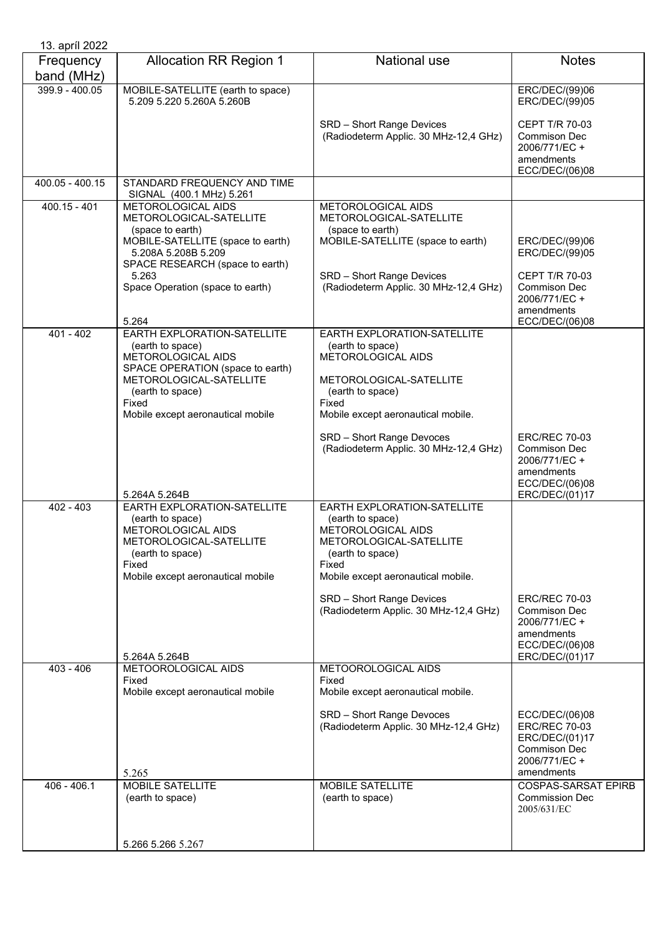| 13. apríl 2022          |                                                                                                                                                                                                               |                                                                                                                                                                              |                                                                                                                |
|-------------------------|---------------------------------------------------------------------------------------------------------------------------------------------------------------------------------------------------------------|------------------------------------------------------------------------------------------------------------------------------------------------------------------------------|----------------------------------------------------------------------------------------------------------------|
| Frequency<br>band (MHz) | <b>Allocation RR Region 1</b>                                                                                                                                                                                 | National use                                                                                                                                                                 | <b>Notes</b>                                                                                                   |
| 399.9 - 400.05          | MOBILE-SATELLITE (earth to space)<br>5.209 5.220 5.260A 5.260B                                                                                                                                                |                                                                                                                                                                              | ERC/DEC/(99)06<br>ERC/DEC/(99)05                                                                               |
|                         |                                                                                                                                                                                                               | SRD - Short Range Devices<br>(Radiodeterm Applic. 30 MHz-12,4 GHz)                                                                                                           | <b>CEPT T/R 70-03</b><br>Commison Dec<br>2006/771/EC +<br>amendments<br>ECC/DEC/(06)08                         |
| 400.05 - 400.15         | STANDARD FREQUENCY AND TIME<br>SIGNAL (400.1 MHz) 5.261                                                                                                                                                       |                                                                                                                                                                              |                                                                                                                |
| $400.15 - 401$          | METOROLOGICAL AIDS<br>METOROLOGICAL-SATELLITE<br>(space to earth)<br>MOBILE-SATELLITE (space to earth)<br>5.208A 5.208B 5.209<br>SPACE RESEARCH (space to earth)<br>5.263<br>Space Operation (space to earth) | METOROLOGICAL AIDS<br>METOROLOGICAL-SATELLITE<br>(space to earth)<br>MOBILE-SATELLITE (space to earth)<br>SRD - Short Range Devices<br>(Radiodeterm Applic. 30 MHz-12,4 GHz) | ERC/DEC/(99)06<br>ERC/DEC/(99)05<br><b>CEPT T/R 70-03</b><br>Commison Dec<br>2006/771/EC +                     |
|                         | 5.264                                                                                                                                                                                                         |                                                                                                                                                                              | amendments<br>ECC/DEC/(06)08                                                                                   |
| $401 - 402$             | EARTH EXPLORATION-SATELLITE<br>(earth to space)<br>METOROLOGICAL AIDS<br>SPACE OPERATION (space to earth)<br>METOROLOGICAL-SATELLITE<br>(earth to space)<br>Fixed<br>Mobile except aeronautical mobile        | EARTH EXPLORATION-SATELLITE<br>(earth to space)<br><b>METOROLOGICAL AIDS</b><br>METOROLOGICAL-SATELLITE<br>(earth to space)<br>Fixed<br>Mobile except aeronautical mobile.   |                                                                                                                |
|                         | 5.264A 5.264B                                                                                                                                                                                                 | SRD - Short Range Devoces<br>(Radiodeterm Applic. 30 MHz-12,4 GHz)                                                                                                           | <b>ERC/REC 70-03</b><br>Commison Dec<br>2006/771/EC +<br>amendments<br>ECC/DEC/(06)08<br>ERC/DEC/(01)17        |
| $402 - 403$             | EARTH EXPLORATION-SATELLITE<br>(earth to space)<br>METOROLOGICAL AIDS<br>METOROLOGICAL-SATELLITE<br>(earth to space)<br>Fixed<br>Mobile except aeronautical mobile                                            | EARTH EXPLORATION-SATELLITE<br>(earth to space)<br>METOROLOGICAL AIDS<br>METOROLOGICAL-SATELLITE<br>(earth to space)<br>Fixed<br>Mobile except aeronautical mobile.          |                                                                                                                |
|                         | 5.264A 5.264B                                                                                                                                                                                                 | SRD - Short Range Devices<br>(Radiodeterm Applic. 30 MHz-12,4 GHz)                                                                                                           | <b>ERC/REC 70-03</b><br>Commison Dec<br>2006/771/EC +<br>amendments<br>ECC/DEC/(06)08<br>ERC/DEC/(01)17        |
| $403 - 406$             | METOOROLOGICAL AIDS<br>Fixed                                                                                                                                                                                  | METOOROLOGICAL AIDS<br>Fixed                                                                                                                                                 |                                                                                                                |
|                         | Mobile except aeronautical mobile                                                                                                                                                                             | Mobile except aeronautical mobile.                                                                                                                                           |                                                                                                                |
|                         | 5.265                                                                                                                                                                                                         | SRD - Short Range Devoces<br>(Radiodeterm Applic. 30 MHz-12,4 GHz)                                                                                                           | ECC/DEC/(06)08<br><b>ERC/REC 70-03</b><br>ERC/DEC/(01)17<br><b>Commison Dec</b><br>2006/771/EC +<br>amendments |
| $406 - 406.1$           | MOBILE SATELLITE<br>(earth to space)                                                                                                                                                                          | MOBILE SATELLITE<br>(earth to space)                                                                                                                                         | <b>COSPAS-SARSAT EPIRB</b><br><b>Commission Dec</b><br>2005/631/EC                                             |
|                         | 5.266 5.266 5.267                                                                                                                                                                                             |                                                                                                                                                                              |                                                                                                                |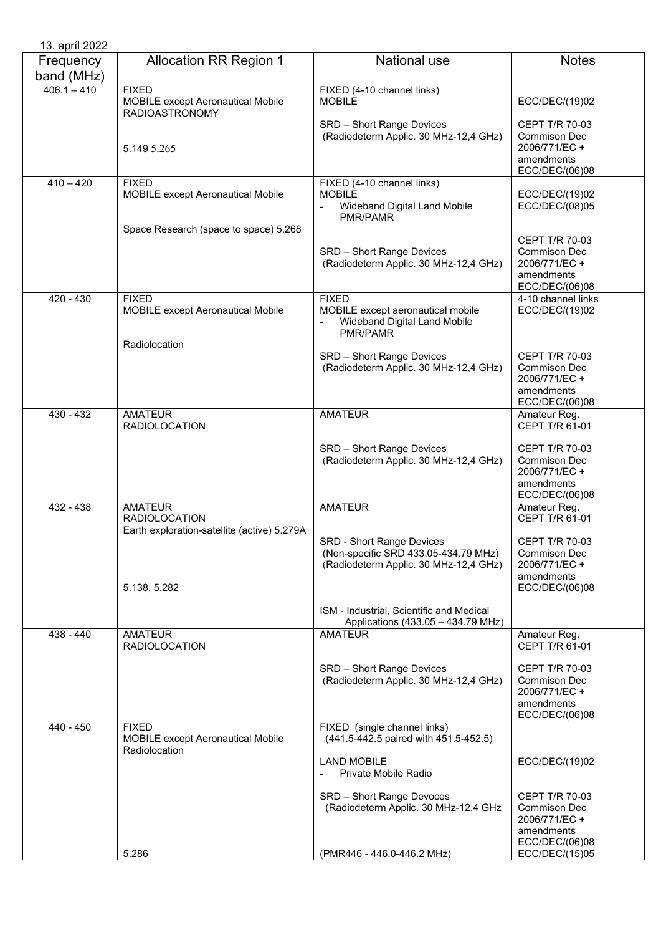| 13. apríl 2022          |                                                                                       |                                                                                                                   |                                                                                               |
|-------------------------|---------------------------------------------------------------------------------------|-------------------------------------------------------------------------------------------------------------------|-----------------------------------------------------------------------------------------------|
| Frequency<br>band (MHz) | <b>Allocation RR Region 1</b>                                                         | <b>National use</b>                                                                                               | <b>Notes</b>                                                                                  |
| $406.1 - 410$           | <b>FIXED</b><br>MOBILE except Aeronautical Mobile<br><b>RADIOASTRONOMY</b>            | FIXED (4-10 channel links)<br><b>MOBILE</b>                                                                       | ECC/DEC/(19)02                                                                                |
|                         | 5.149 5.265                                                                           | SRD - Short Range Devices<br>(Radiodeterm Applic. 30 MHz-12,4 GHz)                                                | CEPT T/R 70-03<br>Commison Dec<br>2006/771/EC+<br>amendments<br>ECC/DEC/(06)08                |
| $410 - 420$             | <b>FIXED</b><br><b>MOBILE except Aeronautical Mobile</b>                              | FIXED (4-10 channel links)<br><b>MOBILE</b><br>Wideband Digital Land Mobile<br>$\frac{1}{2}$<br>PMR/PAMR          | ECC/DEC/(19)02<br>ECC/DEC/(08)05                                                              |
|                         | Space Research (space to space) 5.268                                                 | SRD - Short Range Devices<br>(Radiodeterm Applic. 30 MHz-12,4 GHz)                                                | CEPT T/R 70-03<br><b>Commison Dec</b><br>2006/771/EC +<br>amendments<br>ECC/DEC/(06)08        |
| $420 - 430$             | <b>FIXED</b><br><b>MOBILE except Aeronautical Mobile</b>                              | <b>FIXED</b><br>MOBILE except aeronautical mobile<br>Wideband Digital Land Mobile<br>PMR/PAMR                     | 4-10 channel links<br>ECC/DEC/(19)02                                                          |
|                         | Radiolocation                                                                         | SRD - Short Range Devices<br>(Radiodeterm Applic. 30 MHz-12,4 GHz)                                                | <b>CEPT T/R 70-03</b><br>Commison Dec<br>2006/771/EC +<br>amendments                          |
| $430 - 432$             | <b>AMATEUR</b><br><b>RADIOLOCATION</b>                                                | <b>AMATEUR</b>                                                                                                    | ECC/DEC/(06)08<br>Amateur Reg.<br>CEPT T/R 61-01                                              |
|                         |                                                                                       | SRD - Short Range Devices<br>(Radiodeterm Applic. 30 MHz-12,4 GHz)                                                | <b>CEPT T/R 70-03</b><br><b>Commison Dec</b><br>2006/771/EC +<br>amendments<br>ECC/DEC/(06)08 |
| 432 - 438               | <b>AMATEUR</b><br><b>RADIOLOCATION</b><br>Earth exploration-satellite (active) 5.279A | <b>AMATEUR</b>                                                                                                    | Amateur Reg.<br>CEPT T/R 61-01                                                                |
|                         | 5.138, 5.282                                                                          | <b>SRD - Short Range Devices</b><br>(Non-specific SRD 433.05-434.79 MHz)<br>(Radiodeterm Applic. 30 MHz-12,4 GHz) | CEPT T/R 70-03<br>Commison Dec<br>2006/771/EC +<br>amendments<br>ECC/DEC/(06)08               |
|                         |                                                                                       | ISM - Industrial, Scientific and Medical<br>Applications (433.05 - 434.79 MHz)                                    |                                                                                               |
| 438 - 440               | <b>AMATEUR</b><br><b>RADIOLOCATION</b>                                                | <b>AMATEUR</b>                                                                                                    | Amateur Reg.<br>CEPT T/R 61-01                                                                |
|                         |                                                                                       | SRD - Short Range Devices<br>(Radiodeterm Applic. 30 MHz-12,4 GHz)                                                | CEPT T/R 70-03<br>Commison Dec<br>2006/771/EC +<br>amendments<br>ECC/DEC/(06)08               |
| 440 - 450               | <b>FIXED</b><br><b>MOBILE except Aeronautical Mobile</b><br>Radiolocation             | FIXED (single channel links)<br>(441.5-442.5 paired with 451.5-452.5)                                             |                                                                                               |
|                         |                                                                                       | <b>LAND MOBILE</b><br>Private Mobile Radio                                                                        | ECC/DEC/(19)02                                                                                |
|                         |                                                                                       | SRD - Short Range Devoces<br>(Radiodeterm Applic. 30 MHz-12,4 GHz                                                 | <b>CEPT T/R 70-03</b><br><b>Commison Dec</b><br>2006/771/EC +<br>amendments<br>ECC/DEC/(06)08 |
|                         | 5.286                                                                                 | (PMR446 - 446.0-446.2 MHz)                                                                                        | ECC/DEC/(15)05                                                                                |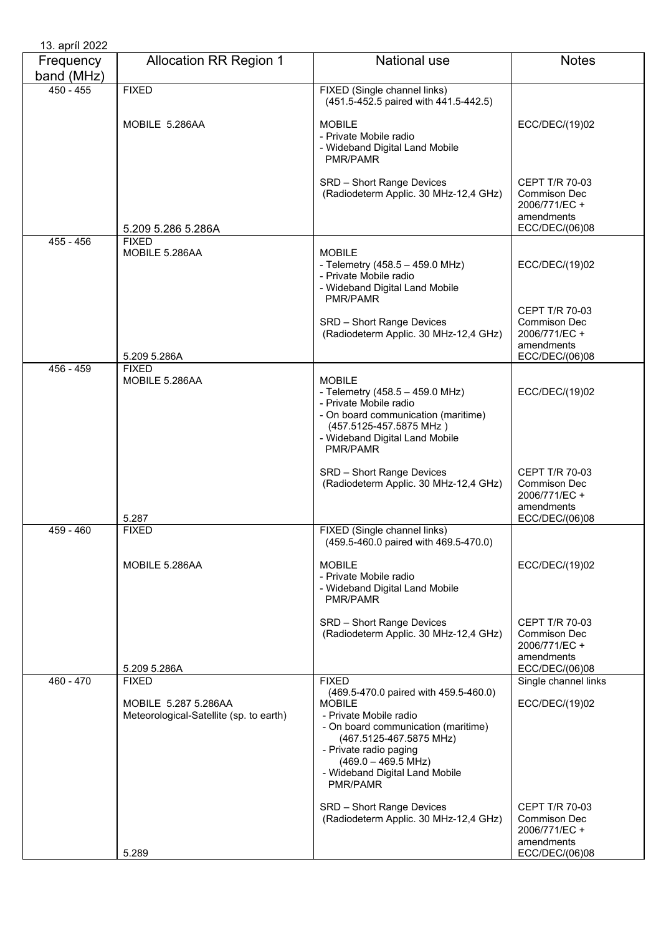| Frequency<br>band (MHz) | <b>Allocation RR Region 1</b>                                   | <b>National use</b>                                                                                                                                                                                                                                         | <b>Notes</b>                                                                                  |
|-------------------------|-----------------------------------------------------------------|-------------------------------------------------------------------------------------------------------------------------------------------------------------------------------------------------------------------------------------------------------------|-----------------------------------------------------------------------------------------------|
| $450 - 455$             | <b>FIXED</b>                                                    | FIXED (Single channel links)<br>(451.5-452.5 paired with 441.5-442.5)                                                                                                                                                                                       |                                                                                               |
|                         | MOBILE 5.286AA                                                  | <b>MOBILE</b><br>- Private Mobile radio<br>- Wideband Digital Land Mobile<br>PMR/PAMR                                                                                                                                                                       | ECC/DEC/(19)02                                                                                |
|                         | 5.209 5.286 5.286A                                              | SRD - Short Range Devices<br>(Radiodeterm Applic. 30 MHz-12,4 GHz)                                                                                                                                                                                          | <b>CEPT T/R 70-03</b><br>Commison Dec<br>2006/771/EC +<br>amendments<br>ECC/DEC/(06)08        |
| $455 - 456$             | <b>FIXED</b>                                                    |                                                                                                                                                                                                                                                             |                                                                                               |
|                         | MOBILE 5.286AA                                                  | <b>MOBILE</b><br>- Telemetry (458.5 - 459.0 MHz)<br>- Private Mobile radio<br>- Wideband Digital Land Mobile<br>PMR/PAMR                                                                                                                                    | ECC/DEC/(19)02                                                                                |
|                         | 5.209 5.286A                                                    | SRD - Short Range Devices<br>(Radiodeterm Applic. 30 MHz-12,4 GHz)                                                                                                                                                                                          | <b>CEPT T/R 70-03</b><br>Commison Dec<br>2006/771/EC +<br>amendments<br>ECC/DEC/(06)08        |
| 456 - 459               | <b>FIXED</b><br>MOBILE 5.286AA                                  | <b>MOBILE</b><br>- Telemetry (458.5 - 459.0 MHz)<br>- Private Mobile radio<br>- On board communication (maritime)<br>(457.5125-457.5875 MHz)<br>- Wideband Digital Land Mobile<br>PMR/PAMR                                                                  | ECC/DEC/(19)02                                                                                |
|                         | 5.287                                                           | SRD - Short Range Devices<br>(Radiodeterm Applic. 30 MHz-12,4 GHz)                                                                                                                                                                                          | CEPT T/R 70-03<br>Commison Dec<br>2006/771/EC +<br>amendments<br>ECC/DEC/(06)08               |
| 459 - 460               | <b>FIXED</b>                                                    | FIXED (Single channel links)<br>(459.5-460.0 paired with 469.5-470.0)                                                                                                                                                                                       |                                                                                               |
|                         | MOBILE 5.286AA                                                  | <b>MOBILE</b><br>- Private Mobile radio<br>- Wideband Digital Land Mobile<br><b>PMR/PAMR</b>                                                                                                                                                                | ECC/DEC/(19)02                                                                                |
|                         | 5.209 5.286A                                                    | SRD - Short Range Devices<br>(Radiodeterm Applic. 30 MHz-12,4 GHz)                                                                                                                                                                                          | <b>CEPT T/R 70-03</b><br>Commison Dec<br>2006/771/EC +<br>amendments<br>ECC/DEC/(06)08        |
| 460 - 470               | <b>FIXED</b>                                                    | <b>FIXED</b>                                                                                                                                                                                                                                                | Single channel links                                                                          |
|                         | MOBILE 5.287 5.286AA<br>Meteorological-Satellite (sp. to earth) | (469.5-470.0 paired with 459.5-460.0)<br><b>MOBILE</b><br>- Private Mobile radio<br>- On board communication (maritime)<br>(467.5125-467.5875 MHz)<br>- Private radio paging<br>$(469.0 - 469.5 \text{ MHz})$<br>- Wideband Digital Land Mobile<br>PMR/PAMR | ECC/DEC/(19)02                                                                                |
|                         | 5.289                                                           | SRD - Short Range Devices<br>(Radiodeterm Applic. 30 MHz-12,4 GHz)                                                                                                                                                                                          | <b>CEPT T/R 70-03</b><br><b>Commison Dec</b><br>2006/771/EC +<br>amendments<br>ECC/DEC/(06)08 |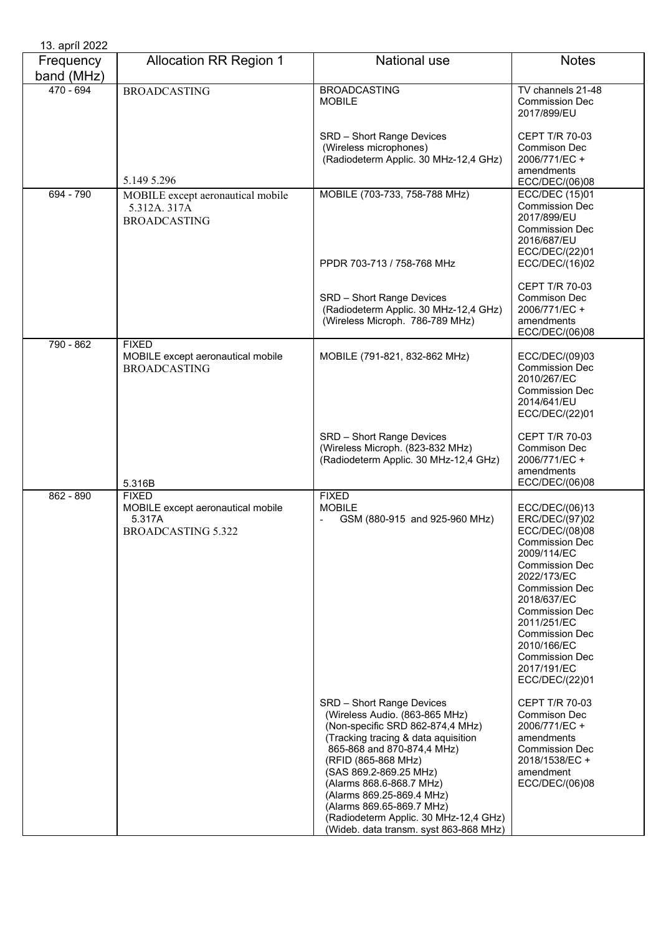| 13. apríl 2022          |                                                                                          |                                                                                                                                                                                                                                                                                                                                                                                                |                                                                                                                                                                                                                                                                                                                      |
|-------------------------|------------------------------------------------------------------------------------------|------------------------------------------------------------------------------------------------------------------------------------------------------------------------------------------------------------------------------------------------------------------------------------------------------------------------------------------------------------------------------------------------|----------------------------------------------------------------------------------------------------------------------------------------------------------------------------------------------------------------------------------------------------------------------------------------------------------------------|
| Frequency<br>band (MHz) | <b>Allocation RR Region 1</b>                                                            | National use                                                                                                                                                                                                                                                                                                                                                                                   | <b>Notes</b>                                                                                                                                                                                                                                                                                                         |
| 470 - 694               | <b>BROADCASTING</b>                                                                      | <b>BROADCASTING</b><br><b>MOBILE</b>                                                                                                                                                                                                                                                                                                                                                           | TV channels 21-48<br><b>Commission Dec</b><br>2017/899/EU                                                                                                                                                                                                                                                            |
|                         | 5.149 5.296                                                                              | SRD - Short Range Devices<br>(Wireless microphones)<br>(Radiodeterm Applic. 30 MHz-12,4 GHz)                                                                                                                                                                                                                                                                                                   | <b>CEPT T/R 70-03</b><br>Commison Dec<br>2006/771/EC +<br>amendments<br>ECC/DEC/(06)08                                                                                                                                                                                                                               |
| 694 - 790               | MOBILE except aeronautical mobile<br>5.312A. 317A<br><b>BROADCASTING</b>                 | MOBILE (703-733, 758-788 MHz)<br>PPDR 703-713 / 758-768 MHz                                                                                                                                                                                                                                                                                                                                    | ECC/DEC (15)01<br><b>Commission Dec</b><br>2017/899/EU<br><b>Commission Dec</b><br>2016/687/EU<br>ECC/DEC/(22)01<br>ECC/DEC/(16)02                                                                                                                                                                                   |
|                         |                                                                                          | SRD - Short Range Devices<br>(Radiodeterm Applic. 30 MHz-12,4 GHz)<br>(Wireless Microph. 786-789 MHz)                                                                                                                                                                                                                                                                                          | CEPT T/R 70-03<br><b>Commison Dec</b><br>2006/771/EC +<br>amendments<br>ECC/DEC/(06)08                                                                                                                                                                                                                               |
| 790 - 862               | <b>FIXED</b><br>MOBILE except aeronautical mobile<br><b>BROADCASTING</b>                 | MOBILE (791-821, 832-862 MHz)                                                                                                                                                                                                                                                                                                                                                                  | ECC/DEC/(09)03<br><b>Commission Dec</b><br>2010/267/EC<br><b>Commission Dec</b><br>2014/641/EU<br>ECC/DEC/(22)01                                                                                                                                                                                                     |
|                         | 5.316B                                                                                   | SRD - Short Range Devices<br>(Wireless Microph. (823-832 MHz)<br>(Radiodeterm Applic. 30 MHz-12,4 GHz)                                                                                                                                                                                                                                                                                         | CEPT T/R 70-03<br>Commison Dec<br>2006/771/EC +<br>amendments<br>ECC/DEC/(06)08                                                                                                                                                                                                                                      |
| 862 - 890               | <b>FIXED</b><br>MOBILE except aeronautical mobile<br>5.317A<br><b>BROADCASTING 5.322</b> | <b>FIXED</b><br><b>MOBILE</b><br>GSM (880-915 and 925-960 MHz)                                                                                                                                                                                                                                                                                                                                 | ECC/DEC/(06)13<br>ERC/DEC/(97)02<br>ECC/DEC/(08)08<br><b>Commission Dec</b><br>2009/114/EC<br><b>Commission Dec</b><br>2022/173/EC<br><b>Commission Dec</b><br>2018/637/EC<br><b>Commission Dec</b><br>2011/251/EC<br><b>Commission Dec</b><br>2010/166/EC<br><b>Commission Dec</b><br>2017/191/EC<br>ECC/DEC/(22)01 |
|                         |                                                                                          | SRD - Short Range Devices<br>(Wireless Audio. (863-865 MHz)<br>(Non-specific SRD 862-874,4 MHz)<br>(Tracking tracing & data aquisition<br>865-868 and 870-874,4 MHz)<br>(RFID (865-868 MHz)<br>(SAS 869.2-869.25 MHz)<br>(Alarms 868.6-868.7 MHz)<br>(Alarms 869.25-869.4 MHz)<br>(Alarms 869.65-869.7 MHz)<br>(Radiodeterm Applic. 30 MHz-12,4 GHz)<br>(Wideb. data transm. syst 863-868 MHz) | CEPT T/R 70-03<br>Commison Dec<br>2006/771/EC +<br>amendments<br><b>Commission Dec</b><br>2018/1538/EC +<br>amendment<br>ECC/DEC/(06)08                                                                                                                                                                              |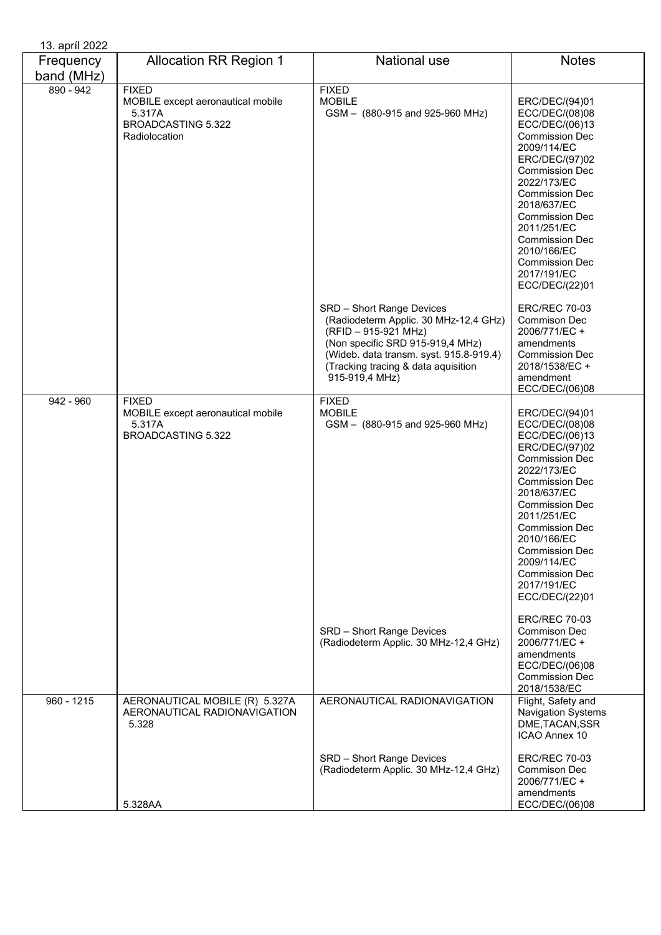| 13. apríl 2022          |                                                                                                           |                                                                                                                                                                                                                                    |                                                                                                                                                                                                                                                                                                                                                         |
|-------------------------|-----------------------------------------------------------------------------------------------------------|------------------------------------------------------------------------------------------------------------------------------------------------------------------------------------------------------------------------------------|---------------------------------------------------------------------------------------------------------------------------------------------------------------------------------------------------------------------------------------------------------------------------------------------------------------------------------------------------------|
| Frequency<br>band (MHz) | <b>Allocation RR Region 1</b>                                                                             | National use                                                                                                                                                                                                                       | <b>Notes</b>                                                                                                                                                                                                                                                                                                                                            |
| $890 - 942$             | <b>FIXED</b><br>MOBILE except aeronautical mobile<br>5.317A<br><b>BROADCASTING 5.322</b><br>Radiolocation | <b>FIXED</b><br><b>MOBILE</b><br>GSM - (880-915 and 925-960 MHz)                                                                                                                                                                   | ERC/DEC/(94)01<br>ECC/DEC/(08)08<br>ECC/DEC/(06)13<br><b>Commission Dec</b><br>2009/114/EC<br>ERC/DEC/(97)02<br><b>Commission Dec</b><br>2022/173/EC<br><b>Commission Dec</b><br>2018/637/EC<br><b>Commission Dec</b><br>2011/251/EC<br><b>Commission Dec</b><br>2010/166/EC<br><b>Commission Dec</b><br>2017/191/EC<br>ECC/DEC/(22)01                  |
|                         |                                                                                                           | SRD - Short Range Devices<br>(Radiodeterm Applic. 30 MHz-12,4 GHz)<br>(RFID - 915-921 MHz)<br>(Non specific SRD 915-919,4 MHz)<br>(Wideb. data transm. syst. 915.8-919.4)<br>(Tracking tracing & data aquisition<br>915-919,4 MHz) | <b>ERC/REC 70-03</b><br>Commison Dec<br>2006/771/EC +<br>amendments<br><b>Commission Dec</b><br>2018/1538/EC +<br>amendment<br>ECC/DEC/(06)08                                                                                                                                                                                                           |
| $942 - 960$             | <b>FIXED</b><br>MOBILE except aeronautical mobile<br>5.317A<br><b>BROADCASTING 5.322</b>                  | <b>FIXED</b><br><b>MOBILE</b><br>GSM - (880-915 and 925-960 MHz)                                                                                                                                                                   | ERC/DEC/(94)01<br>ECC/DEC/(08)08<br>ECC/DEC/(06)13<br>ERC/DEC/(97)02<br><b>Commission Dec</b><br>2022/173/EC<br><b>Commission Dec</b><br>2018/637/EC<br><b>Commission Dec</b><br>2011/251/EC<br>Commission Dec<br>2010/166/EC<br><b>Commission Dec</b><br>2009/114/EC<br><b>Commission Dec</b><br>2017/191/EC<br>ECC/DEC/(22)01<br><b>ERC/REC 70-03</b> |
|                         |                                                                                                           | SRD - Short Range Devices<br>(Radiodeterm Applic. 30 MHz-12,4 GHz)                                                                                                                                                                 | Commison Dec<br>2006/771/EC +<br>amendments<br>ECC/DEC/(06)08<br><b>Commission Dec</b><br>2018/1538/EC                                                                                                                                                                                                                                                  |
| $960 - 1215$            | AERONAUTICAL MOBILE (R) 5.327A<br>AERONAUTICAL RADIONAVIGATION<br>5.328                                   | AERONAUTICAL RADIONAVIGATION                                                                                                                                                                                                       | Flight, Safety and<br><b>Navigation Systems</b><br>DME, TACAN, SSR<br>ICAO Annex 10                                                                                                                                                                                                                                                                     |
|                         | 5.328AA                                                                                                   | SRD - Short Range Devices<br>(Radiodeterm Applic. 30 MHz-12,4 GHz)                                                                                                                                                                 | <b>ERC/REC 70-03</b><br>Commison Dec<br>2006/771/EC +<br>amendments<br>ECC/DEC/(06)08                                                                                                                                                                                                                                                                   |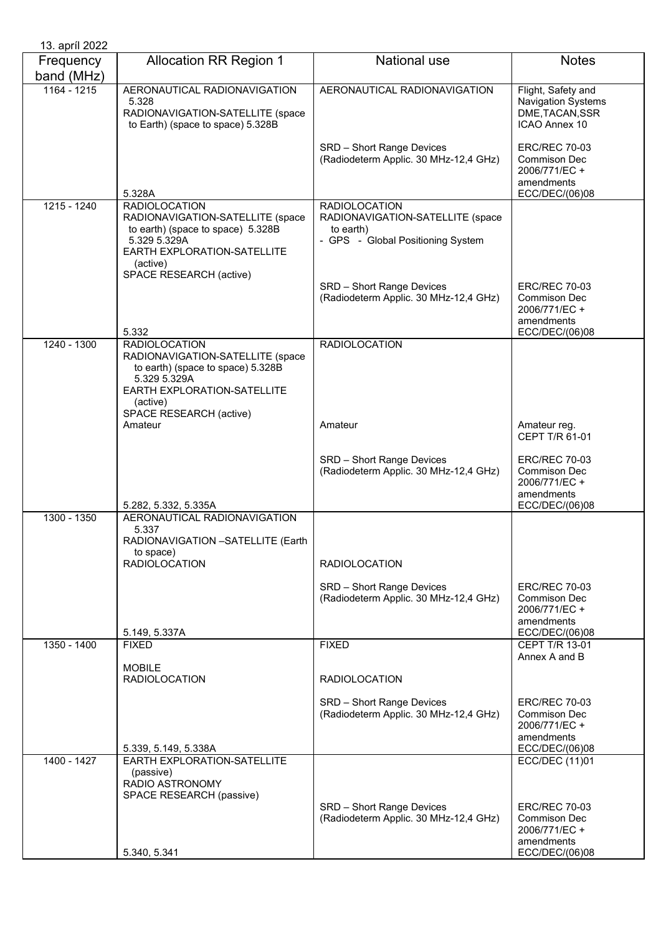| 13. apríl 2022          |                                                                                                                                  |                                                                                    |                                                                                       |
|-------------------------|----------------------------------------------------------------------------------------------------------------------------------|------------------------------------------------------------------------------------|---------------------------------------------------------------------------------------|
| Frequency<br>band (MHz) | <b>Allocation RR Region 1</b>                                                                                                    | <b>National use</b>                                                                | <b>Notes</b>                                                                          |
| $1164 - 1215$           | AERONAUTICAL RADIONAVIGATION<br>5.328<br>RADIONAVIGATION-SATELLITE (space<br>to Earth) (space to space) 5.328B                   | AERONAUTICAL RADIONAVIGATION                                                       | Flight, Safety and<br>Navigation Systems<br>DME, TACAN, SSR<br>ICAO Annex 10          |
|                         | 5.328A                                                                                                                           | SRD - Short Range Devices<br>(Radiodeterm Applic. 30 MHz-12,4 GHz)                 | <b>ERC/REC 70-03</b><br>Commison Dec<br>2006/771/EC +<br>amendments<br>ECC/DEC/(06)08 |
| $1215 - 1240$           | <b>RADIOLOCATION</b>                                                                                                             | <b>RADIOLOCATION</b>                                                               |                                                                                       |
|                         | RADIONAVIGATION-SATELLITE (space<br>to earth) (space to space) 5.328B<br>5.329 5.329A<br>EARTH EXPLORATION-SATELLITE<br>(active) | RADIONAVIGATION-SATELLITE (space<br>to earth)<br>- GPS - Global Positioning System |                                                                                       |
|                         | SPACE RESEARCH (active)<br>5.332                                                                                                 | SRD - Short Range Devices<br>(Radiodeterm Applic. 30 MHz-12,4 GHz)                 | <b>ERC/REC 70-03</b><br>Commison Dec<br>2006/771/EC +<br>amendments<br>ECC/DEC/(06)08 |
| 1240 - 1300             | <b>RADIOLOCATION</b>                                                                                                             | <b>RADIOLOCATION</b>                                                               |                                                                                       |
|                         | RADIONAVIGATION-SATELLITE (space<br>to earth) (space to space) 5.328B<br>5.329 5.329A<br>EARTH EXPLORATION-SATELLITE<br>(active) |                                                                                    |                                                                                       |
|                         | SPACE RESEARCH (active)                                                                                                          |                                                                                    |                                                                                       |
|                         | Amateur                                                                                                                          | Amateur                                                                            | Amateur reg.<br>CEPT T/R 61-01                                                        |
|                         |                                                                                                                                  | SRD - Short Range Devices<br>(Radiodeterm Applic. 30 MHz-12,4 GHz)                 | <b>ERC/REC 70-03</b><br><b>Commison Dec</b><br>2006/771/EC +<br>amendments            |
|                         | 5.282, 5.332, 5.335A                                                                                                             |                                                                                    | ECC/DEC/(06)08                                                                        |
| 1300 - 1350             | AERONAUTICAL RADIONAVIGATION                                                                                                     |                                                                                    |                                                                                       |
|                         | 5.337<br>RADIONAVIGATION -SATELLITE (Earth<br>to space)                                                                          |                                                                                    |                                                                                       |
|                         | <b>RADIOLOCATION</b>                                                                                                             | <b>RADIOLOCATION</b>                                                               |                                                                                       |
|                         |                                                                                                                                  | SRD - Short Range Devices<br>(Radiodeterm Applic. 30 MHz-12,4 GHz)                 | <b>ERC/REC 70-03</b><br>Commison Dec<br>2006/771/EC +<br>amendments                   |
|                         | 5.149, 5.337A                                                                                                                    |                                                                                    | ECC/DEC/(06)08                                                                        |
| 1350 - 1400             | <b>FIXED</b>                                                                                                                     | <b>FIXED</b>                                                                       | <b>CEPT T/R 13-01</b><br>Annex A and B                                                |
|                         | <b>MOBILE</b><br><b>RADIOLOCATION</b>                                                                                            | <b>RADIOLOCATION</b>                                                               |                                                                                       |
|                         |                                                                                                                                  | SRD - Short Range Devices<br>(Radiodeterm Applic. 30 MHz-12,4 GHz)                 | <b>ERC/REC 70-03</b><br>Commison Dec<br>2006/771/EC +<br>amendments                   |
|                         | 5.339, 5.149, 5.338A                                                                                                             |                                                                                    | ECC/DEC/(06)08                                                                        |
| $1400 - 1427$           | EARTH EXPLORATION-SATELLITE                                                                                                      |                                                                                    | <b>ECC/DEC (11)01</b>                                                                 |
|                         | (passive)<br>RADIO ASTRONOMY<br>SPACE RESEARCH (passive)                                                                         |                                                                                    |                                                                                       |
|                         |                                                                                                                                  | SRD - Short Range Devices<br>(Radiodeterm Applic. 30 MHz-12,4 GHz)                 | <b>ERC/REC 70-03</b><br>Commison Dec<br>2006/771/EC +<br>amendments                   |
|                         | 5.340, 5.341                                                                                                                     |                                                                                    | ECC/DEC/(06)08                                                                        |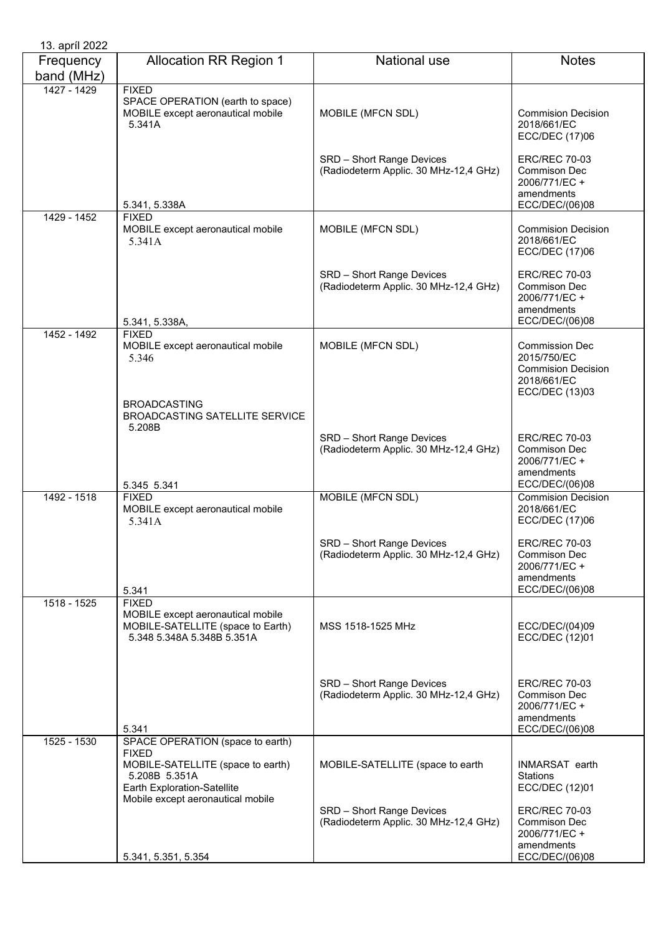| 13. apríl 2022          |                                                                                                                                                                            |                                                                    |                                                                                                    |
|-------------------------|----------------------------------------------------------------------------------------------------------------------------------------------------------------------------|--------------------------------------------------------------------|----------------------------------------------------------------------------------------------------|
| Frequency<br>band (MHz) | <b>Allocation RR Region 1</b>                                                                                                                                              | <b>National use</b>                                                | <b>Notes</b>                                                                                       |
| 1427 - 1429             | <b>FIXED</b><br>SPACE OPERATION (earth to space)<br>MOBILE except aeronautical mobile<br>5.341A                                                                            | MOBILE (MFCN SDL)                                                  | <b>Commision Decision</b><br>2018/661/EC<br><b>ECC/DEC (17)06</b>                                  |
|                         | 5.341, 5.338A                                                                                                                                                              | SRD - Short Range Devices<br>(Radiodeterm Applic. 30 MHz-12,4 GHz) | <b>ERC/REC 70-03</b><br>Commison Dec<br>2006/771/EC +<br>amendments<br>ECC/DEC/(06)08              |
| 1429 - 1452             | <b>FIXED</b><br>MOBILE except aeronautical mobile<br>5.341A                                                                                                                | MOBILE (MFCN SDL)                                                  | <b>Commision Decision</b><br>2018/661/EC<br>ECC/DEC (17)06                                         |
|                         | 5.341, 5.338A,                                                                                                                                                             | SRD - Short Range Devices<br>(Radiodeterm Applic. 30 MHz-12,4 GHz) | <b>ERC/REC 70-03</b><br>Commison Dec<br>2006/771/EC +<br>amendments<br>ECC/DEC/(06)08              |
| 1452 - 1492             | <b>FIXED</b><br>MOBILE except aeronautical mobile<br>5.346                                                                                                                 | MOBILE (MFCN SDL)                                                  | <b>Commission Dec</b><br>2015/750/EC<br><b>Commision Decision</b><br>2018/661/EC<br>ECC/DEC (13)03 |
|                         | <b>BROADCASTING</b><br><b>BROADCASTING SATELLITE SERVICE</b><br>5.208B                                                                                                     |                                                                    |                                                                                                    |
|                         | 5.345 5.341                                                                                                                                                                | SRD - Short Range Devices<br>(Radiodeterm Applic. 30 MHz-12,4 GHz) | <b>ERC/REC 70-03</b><br><b>Commison Dec</b><br>2006/771/EC +<br>amendments<br>ECC/DEC/(06)08       |
| 1492 - 1518             | <b>FIXED</b><br>MOBILE except aeronautical mobile<br>5.341A                                                                                                                | MOBILE (MFCN SDL)                                                  | <b>Commision Decision</b><br>2018/661/EC<br><b>ECC/DEC (17)06</b>                                  |
|                         | 5.341                                                                                                                                                                      | SRD - Short Range Devices<br>(Radiodeterm Applic. 30 MHz-12,4 GHz) | <b>ERC/REC 70-03</b><br>Commison Dec<br>2006/771/EC +<br>amendments<br>ECC/DEC/(06)08              |
| 1518 - 1525             | <b>FIXED</b><br>MOBILE except aeronautical mobile<br>MOBILE-SATELLITE (space to Earth)<br>5.348 5.348A 5.348B 5.351A                                                       | MSS 1518-1525 MHz                                                  | ECC/DEC/(04)09<br>ECC/DEC (12)01                                                                   |
|                         | 5.341                                                                                                                                                                      | SRD - Short Range Devices<br>(Radiodeterm Applic. 30 MHz-12,4 GHz) | <b>ERC/REC 70-03</b><br>Commison Dec<br>2006/771/EC +<br>amendments<br>ECC/DEC/(06)08              |
| 1525 - 1530             | SPACE OPERATION (space to earth)<br><b>FIXED</b><br>MOBILE-SATELLITE (space to earth)<br>5.208B 5.351A<br>Earth Exploration-Satellite<br>Mobile except aeronautical mobile | MOBILE-SATELLITE (space to earth                                   | INMARSAT earth<br>Stations<br>ECC/DEC (12)01                                                       |
|                         | 5.341, 5.351, 5.354                                                                                                                                                        | SRD - Short Range Devices<br>(Radiodeterm Applic. 30 MHz-12,4 GHz) | <b>ERC/REC 70-03</b><br>Commison Dec<br>2006/771/EC +<br>amendments<br>ECC/DEC/(06)08              |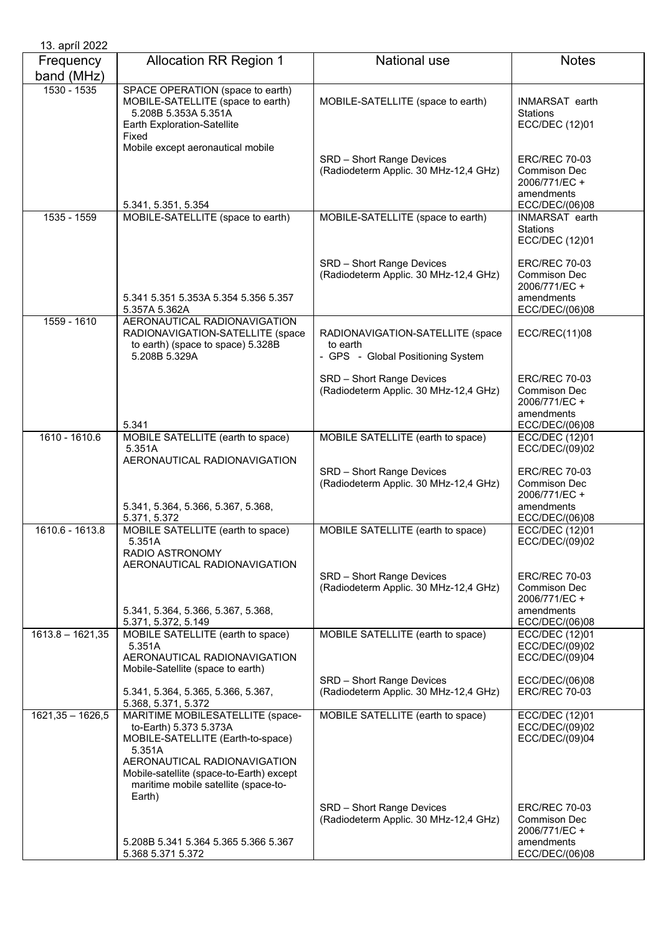| 13. april 2022          |                                                                                                                                                                                                                                         |                                                                                   |                                                                                       |
|-------------------------|-----------------------------------------------------------------------------------------------------------------------------------------------------------------------------------------------------------------------------------------|-----------------------------------------------------------------------------------|---------------------------------------------------------------------------------------|
| Frequency<br>band (MHz) | <b>Allocation RR Region 1</b>                                                                                                                                                                                                           | <b>National use</b>                                                               | <b>Notes</b>                                                                          |
| $1530 - 1535$           | SPACE OPERATION (space to earth)<br>MOBILE-SATELLITE (space to earth)<br>5.208B 5.353A 5.351A<br>Earth Exploration-Satellite<br>Fixed<br>Mobile except aeronautical mobile                                                              | MOBILE-SATELLITE (space to earth)                                                 | INMARSAT earth<br>Stations<br>ECC/DEC (12)01                                          |
|                         | 5.341, 5.351, 5.354                                                                                                                                                                                                                     | SRD - Short Range Devices<br>(Radiodeterm Applic. 30 MHz-12,4 GHz)                | <b>ERC/REC 70-03</b><br>Commison Dec<br>2006/771/EC +<br>amendments<br>ECC/DEC/(06)08 |
| 1535 - 1559             | MOBILE-SATELLITE (space to earth)                                                                                                                                                                                                       | MOBILE-SATELLITE (space to earth)                                                 | <b>INMARSAT</b> earth<br><b>Stations</b><br>ECC/DEC (12)01                            |
|                         | 5.341 5.351 5.353A 5.354 5.356 5.357<br>5.357A 5.362A                                                                                                                                                                                   | SRD - Short Range Devices<br>(Radiodeterm Applic. 30 MHz-12,4 GHz)                | <b>ERC/REC 70-03</b><br>Commison Dec<br>2006/771/EC +<br>amendments<br>ECC/DEC/(06)08 |
| 1559 - 1610             | AERONAUTICAL RADIONAVIGATION<br>RADIONAVIGATION-SATELLITE (space<br>to earth) (space to space) 5.328B<br>5.208B 5.329A                                                                                                                  | RADIONAVIGATION-SATELLITE (space<br>to earth<br>- GPS - Global Positioning System | ECC/REC(11)08                                                                         |
|                         | 5.341                                                                                                                                                                                                                                   | SRD - Short Range Devices<br>(Radiodeterm Applic. 30 MHz-12,4 GHz)                | <b>ERC/REC 70-03</b><br>Commison Dec<br>2006/771/EC +<br>amendments<br>ECC/DEC/(06)08 |
| 1610 - 1610.6           | MOBILE SATELLITE (earth to space)<br>5.351A<br>AERONAUTICAL RADIONAVIGATION                                                                                                                                                             | MOBILE SATELLITE (earth to space)                                                 | ECC/DEC (12)01<br>ECC/DEC/(09)02                                                      |
|                         | 5.341, 5.364, 5.366, 5.367, 5.368,<br>5.371, 5.372                                                                                                                                                                                      | SRD - Short Range Devices<br>(Radiodeterm Applic. 30 MHz-12,4 GHz)                | <b>ERC/REC 70-03</b><br>Commison Dec<br>2006/771/EC +<br>amendments<br>ECC/DEC/(06)08 |
| 1610.6 - 1613.8         | MOBILE SATELLITE (earth to space)<br>5.351A<br>RADIO ASTRONOMY<br>AERONAUTICAL RADIONAVIGATION                                                                                                                                          | MOBILE SATELLITE (earth to space)                                                 | ECC/DEC (12)01<br>ECC/DEC/(09)02                                                      |
|                         | 5.341, 5.364, 5.366, 5.367, 5.368,                                                                                                                                                                                                      | SRD - Short Range Devices<br>(Radiodeterm Applic. 30 MHz-12,4 GHz)                | <b>ERC/REC 70-03</b><br>Commison Dec<br>2006/771/EC +<br>amendments                   |
|                         | 5.371, 5.372, 5.149                                                                                                                                                                                                                     |                                                                                   | ECC/DEC/(06)08                                                                        |
| $1613.8 - 1621,35$      | MOBILE SATELLITE (earth to space)<br>5.351A<br>AERONAUTICAL RADIONAVIGATION<br>Mobile-Satellite (space to earth)                                                                                                                        | MOBILE SATELLITE (earth to space)                                                 | ECC/DEC (12)01<br>ECC/DEC/(09)02<br>ECC/DEC/(09)04                                    |
|                         | 5.341, 5.364, 5.365, 5.366, 5.367,<br>5.368, 5.371, 5.372                                                                                                                                                                               | SRD - Short Range Devices<br>(Radiodeterm Applic. 30 MHz-12,4 GHz)                | ECC/DEC/(06)08<br><b>ERC/REC 70-03</b>                                                |
| $1621,35 - 1626,5$      | MARITIME MOBILESATELLITE (space-<br>to-Earth) 5.373 5.373A<br>MOBILE-SATELLITE (Earth-to-space)<br>5.351A<br>AERONAUTICAL RADIONAVIGATION<br>Mobile-satellite (space-to-Earth) except<br>maritime mobile satellite (space-to-<br>Earth) | MOBILE SATELLITE (earth to space)                                                 | ECC/DEC (12)01<br>ECC/DEC/(09)02<br>ECC/DEC/(09)04                                    |
|                         | 5.208B 5.341 5.364 5.365 5.366 5.367                                                                                                                                                                                                    | SRD - Short Range Devices<br>(Radiodeterm Applic. 30 MHz-12,4 GHz)                | <b>ERC/REC 70-03</b><br>Commison Dec<br>2006/771/EC +<br>amendments                   |
|                         | 5.368 5.371 5.372                                                                                                                                                                                                                       |                                                                                   | ECC/DEC/(06)08                                                                        |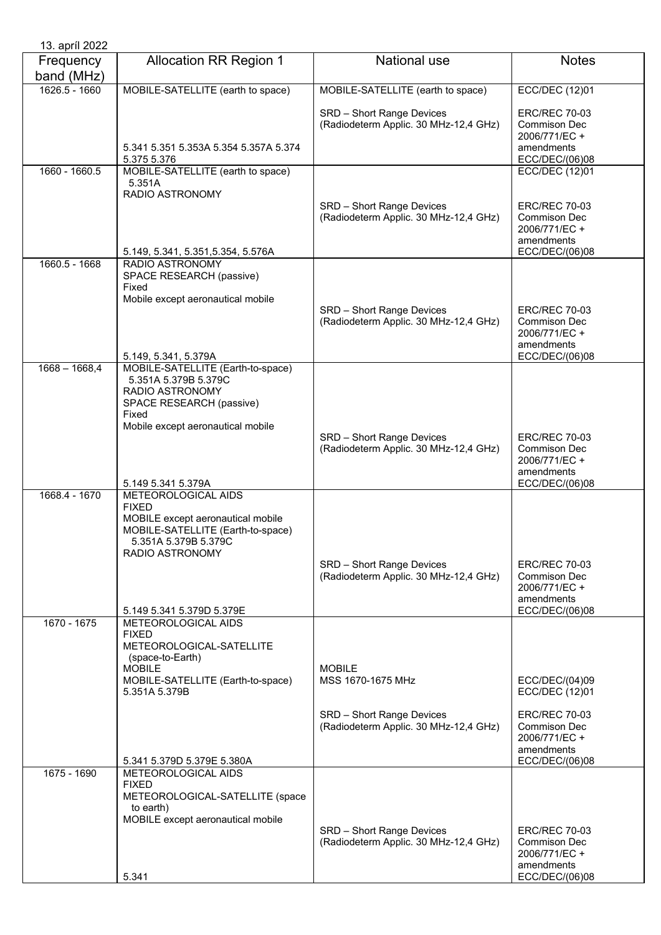| 13. apríl 2022          |                                                                                                                                                                                          |                                                                                                          |                                                                                                                           |
|-------------------------|------------------------------------------------------------------------------------------------------------------------------------------------------------------------------------------|----------------------------------------------------------------------------------------------------------|---------------------------------------------------------------------------------------------------------------------------|
| Frequency<br>band (MHz) | <b>Allocation RR Region 1</b>                                                                                                                                                            | <b>National use</b>                                                                                      | <b>Notes</b>                                                                                                              |
| 1626.5 - 1660           | MOBILE-SATELLITE (earth to space)                                                                                                                                                        | MOBILE-SATELLITE (earth to space)                                                                        | ECC/DEC (12)01                                                                                                            |
|                         | 5.341 5.351 5.353A 5.354 5.357A 5.374<br>5.375 5.376                                                                                                                                     | SRD - Short Range Devices<br>(Radiodeterm Applic. 30 MHz-12,4 GHz)                                       | <b>ERC/REC 70-03</b><br><b>Commison Dec</b><br>2006/771/EC +<br>amendments<br>ECC/DEC/(06)08                              |
| 1660 - 1660.5           | MOBILE-SATELLITE (earth to space)                                                                                                                                                        |                                                                                                          | ECC/DEC (12)01                                                                                                            |
|                         | 5.351A<br>RADIO ASTRONOMY<br>5.149, 5.341, 5.351, 5.354, 5.576A                                                                                                                          | SRD - Short Range Devices<br>(Radiodeterm Applic. 30 MHz-12,4 GHz)                                       | <b>ERC/REC 70-03</b><br>Commison Dec<br>2006/771/EC +<br>amendments<br>ECC/DEC/(06)08                                     |
| 1660.5 - 1668           | <b>RADIO ASTRONOMY</b>                                                                                                                                                                   |                                                                                                          |                                                                                                                           |
|                         | SPACE RESEARCH (passive)<br>Fixed<br>Mobile except aeronautical mobile<br>5.149, 5.341, 5.379A                                                                                           | SRD - Short Range Devices<br>(Radiodeterm Applic. 30 MHz-12,4 GHz)                                       | <b>ERC/REC 70-03</b><br>Commison Dec<br>2006/771/EC +<br>amendments<br>ECC/DEC/(06)08                                     |
| $1668 - 1668,4$         | MOBILE-SATELLITE (Earth-to-space)<br>5.351A 5.379B 5.379C<br>RADIO ASTRONOMY<br>SPACE RESEARCH (passive)<br>Fixed<br>Mobile except aeronautical mobile<br>5.149 5.341 5.379A             | SRD - Short Range Devices<br>(Radiodeterm Applic. 30 MHz-12,4 GHz)                                       | <b>ERC/REC 70-03</b><br>Commison Dec<br>2006/771/EC +<br>amendments<br>ECC/DEC/(06)08                                     |
| 1668.4 - 1670           | METEOROLOGICAL AIDS<br><b>FIXED</b><br>MOBILE except aeronautical mobile<br>MOBILE-SATELLITE (Earth-to-space)<br>5.351A 5.379B 5.379C<br>RADIO ASTRONOMY<br>5.149 5.341 5.379D 5.379E    | SRD - Short Range Devices<br>(Radiodeterm Applic. 30 MHz-12,4 GHz)                                       | <b>ERC/REC 70-03</b><br>Commison Dec<br>2006/771/EC+<br>amendments<br>ECC/DEC/(06)08                                      |
| 1670 - 1675             | METEOROLOGICAL AIDS<br><b>FIXED</b><br>METEOROLOGICAL-SATELLITE<br>(space-to-Earth)<br><b>MOBILE</b><br>MOBILE-SATELLITE (Earth-to-space)<br>5.351A 5.379B<br>5.341 5.379D 5.379E 5.380A | <b>MOBILE</b><br>MSS 1670-1675 MHz<br>SRD - Short Range Devices<br>(Radiodeterm Applic. 30 MHz-12,4 GHz) | ECC/DEC/(04)09<br>ECC/DEC (12)01<br><b>ERC/REC 70-03</b><br>Commison Dec<br>2006/771/EC +<br>amendments<br>ECC/DEC/(06)08 |
| 1675 - 1690             | METEOROLOGICAL AIDS                                                                                                                                                                      |                                                                                                          |                                                                                                                           |
|                         | <b>FIXED</b><br>METEOROLOGICAL-SATELLITE (space<br>to earth)<br>MOBILE except aeronautical mobile<br>5.341                                                                               | SRD - Short Range Devices<br>(Radiodeterm Applic. 30 MHz-12,4 GHz)                                       | <b>ERC/REC 70-03</b><br>Commison Dec<br>2006/771/EC +<br>amendments<br>ECC/DEC/(06)08                                     |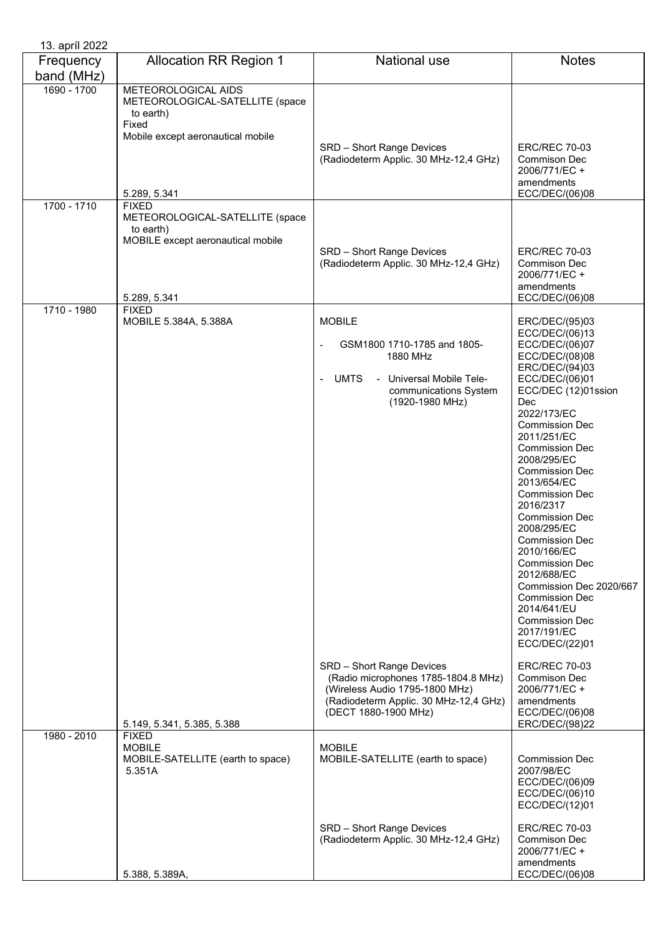| 13. apríl 2022          |                                                                                                                                   |                                                                                                                                                                     |                                                                                                                                                                                                                                                                                                                                                                                                                                                                                                                                                                          |
|-------------------------|-----------------------------------------------------------------------------------------------------------------------------------|---------------------------------------------------------------------------------------------------------------------------------------------------------------------|--------------------------------------------------------------------------------------------------------------------------------------------------------------------------------------------------------------------------------------------------------------------------------------------------------------------------------------------------------------------------------------------------------------------------------------------------------------------------------------------------------------------------------------------------------------------------|
| Frequency<br>band (MHz) | <b>Allocation RR Region 1</b>                                                                                                     | National use                                                                                                                                                        | <b>Notes</b>                                                                                                                                                                                                                                                                                                                                                                                                                                                                                                                                                             |
| 1690 - 1700             | METEOROLOGICAL AIDS<br>METEOROLOGICAL-SATELLITE (space<br>to earth)<br>Fixed<br>Mobile except aeronautical mobile<br>5.289, 5.341 | SRD - Short Range Devices<br>(Radiodeterm Applic. 30 MHz-12,4 GHz)                                                                                                  | <b>ERC/REC 70-03</b><br>Commison Dec<br>2006/771/EC +<br>amendments<br>ECC/DEC/(06)08                                                                                                                                                                                                                                                                                                                                                                                                                                                                                    |
| 1700 - 1710             | <b>FIXED</b><br>METEOROLOGICAL-SATELLITE (space<br>to earth)<br>MOBILE except aeronautical mobile<br>5.289, 5.341                 | SRD - Short Range Devices<br>(Radiodeterm Applic. 30 MHz-12,4 GHz)                                                                                                  | <b>ERC/REC 70-03</b><br><b>Commison Dec</b><br>2006/771/EC +<br>amendments<br>ECC/DEC/(06)08                                                                                                                                                                                                                                                                                                                                                                                                                                                                             |
| 1710 - 1980             | <b>FIXED</b><br>MOBILE 5.384A, 5.388A                                                                                             | <b>MOBILE</b><br>GSM1800 1710-1785 and 1805-<br>1880 MHz<br>UMTS<br>- Universal Mobile Tele-<br>$\sim$<br>communications System<br>(1920-1980 MHz)                  | ERC/DEC/(95)03<br>ECC/DEC/(06)13<br>ECC/DEC/(06)07<br>ECC/DEC/(08)08<br>ERC/DEC/(94)03<br>ECC/DEC/(06)01<br>ECC/DEC (12)01ssion<br>Dec<br>2022/173/EC<br><b>Commission Dec</b><br>2011/251/EC<br><b>Commission Dec</b><br>2008/295/EC<br><b>Commission Dec</b><br>2013/654/EC<br><b>Commission Dec</b><br>2016/2317<br><b>Commission Dec</b><br>2008/295/EC<br><b>Commission Dec</b><br>2010/166/EC<br><b>Commission Dec</b><br>2012/688/EC<br>Commission Dec 2020/667<br><b>Commission Dec</b><br>2014/641/EU<br><b>Commission Dec</b><br>2017/191/EC<br>ECC/DEC/(22)01 |
|                         | 5.149, 5.341, 5.385, 5.388                                                                                                        | SRD - Short Range Devices<br>(Radio microphones 1785-1804.8 MHz)<br>(Wireless Audio 1795-1800 MHz)<br>(Radiodeterm Applic. 30 MHz-12,4 GHz)<br>(DECT 1880-1900 MHz) | <b>ERC/REC 70-03</b><br>Commison Dec<br>2006/771/EC +<br>amendments<br>ECC/DEC/(06)08<br>ERC/DEC/(98)22                                                                                                                                                                                                                                                                                                                                                                                                                                                                  |
| 1980 - 2010             | <b>FIXED</b><br><b>MOBILE</b><br>MOBILE-SATELLITE (earth to space)<br>5.351A                                                      | <b>MOBILE</b><br>MOBILE-SATELLITE (earth to space)                                                                                                                  | <b>Commission Dec</b><br>2007/98/EC<br>ECC/DEC/(06)09<br>ECC/DEC/(06)10<br>ECC/DEC/(12)01                                                                                                                                                                                                                                                                                                                                                                                                                                                                                |
|                         | 5.388, 5.389A,                                                                                                                    | SRD - Short Range Devices<br>(Radiodeterm Applic. 30 MHz-12,4 GHz)                                                                                                  | <b>ERC/REC 70-03</b><br><b>Commison Dec</b><br>2006/771/EC +<br>amendments<br>ECC/DEC/(06)08                                                                                                                                                                                                                                                                                                                                                                                                                                                                             |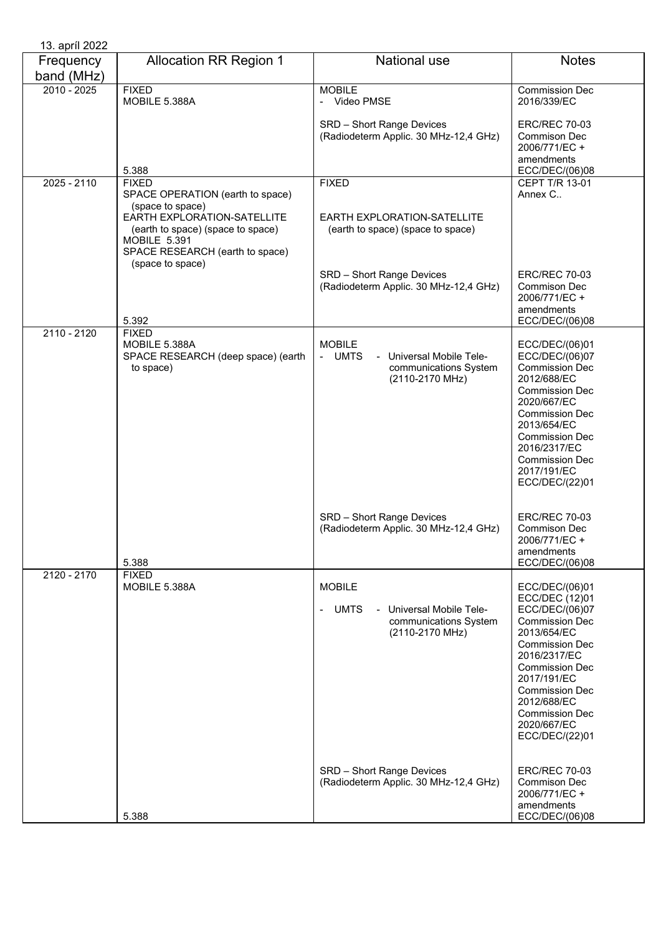| 13. april 2022          |                                                                                                                                                                                                        |                                                                                                                                        |                                                                                                                                                                                                                                                                               |
|-------------------------|--------------------------------------------------------------------------------------------------------------------------------------------------------------------------------------------------------|----------------------------------------------------------------------------------------------------------------------------------------|-------------------------------------------------------------------------------------------------------------------------------------------------------------------------------------------------------------------------------------------------------------------------------|
| Frequency<br>band (MHz) | <b>Allocation RR Region 1</b>                                                                                                                                                                          | National use                                                                                                                           | <b>Notes</b>                                                                                                                                                                                                                                                                  |
| $2010 - 2025$           | <b>FIXED</b><br>MOBILE 5.388A                                                                                                                                                                          | <b>MOBILE</b><br>- Video PMSE                                                                                                          | Commission Dec<br>2016/339/EC                                                                                                                                                                                                                                                 |
|                         | 5.388                                                                                                                                                                                                  | SRD - Short Range Devices<br>(Radiodeterm Applic. 30 MHz-12,4 GHz)                                                                     | <b>ERC/REC 70-03</b><br>Commison Dec<br>2006/771/EC +<br>amendments<br>ECC/DEC/(06)08                                                                                                                                                                                         |
| $2025 - 2110$           | <b>FIXED</b>                                                                                                                                                                                           | <b>FIXED</b>                                                                                                                           | <b>CEPT T/R 13-01</b>                                                                                                                                                                                                                                                         |
|                         | SPACE OPERATION (earth to space)<br>(space to space)<br>EARTH EXPLORATION-SATELLITE<br>(earth to space) (space to space)<br><b>MOBILE 5.391</b><br>SPACE RESEARCH (earth to space)<br>(space to space) | EARTH EXPLORATION-SATELLITE<br>(earth to space) (space to space)<br>SRD - Short Range Devices<br>(Radiodeterm Applic. 30 MHz-12,4 GHz) | Annex C<br><b>ERC/REC 70-03</b><br>Commison Dec<br>2006/771/EC +                                                                                                                                                                                                              |
|                         | 5.392                                                                                                                                                                                                  |                                                                                                                                        | amendments<br>ECC/DEC/(06)08                                                                                                                                                                                                                                                  |
| 2110 - 2120             | <b>FIXED</b><br>MOBILE 5.388A<br>SPACE RESEARCH (deep space) (earth                                                                                                                                    | <b>MOBILE</b><br>- UMTS<br>Universal Mobile Tele-                                                                                      | ECC/DEC/(06)01<br>ECC/DEC/(06)07                                                                                                                                                                                                                                              |
|                         | to space)                                                                                                                                                                                              | communications System<br>(2110-2170 MHz)                                                                                               | <b>Commission Dec</b><br>2012/688/EC<br><b>Commission Dec</b><br>2020/667/EC<br><b>Commission Dec</b><br>2013/654/EC<br><b>Commission Dec</b><br>2016/2317/EC<br><b>Commission Dec</b><br>2017/191/EC<br>ECC/DEC/(22)01                                                       |
|                         | 5.388                                                                                                                                                                                                  | SRD - Short Range Devices<br>(Radiodeterm Applic. 30 MHz-12,4 GHz)                                                                     | <b>ERC/REC 70-03</b><br>Commison Dec<br>2006/771/EC +<br>amendments<br>ECC/DEC/(06)08                                                                                                                                                                                         |
| 2120 - 2170             | <b>FIXED</b><br>MOBILE 5.388A                                                                                                                                                                          | <b>MOBILE</b><br><b>UMTS</b><br>Universal Mobile Tele-<br>communications System<br>(2110-2170 MHz)                                     | ECC/DEC/(06)01<br>ECC/DEC (12)01<br>ECC/DEC/(06)07<br><b>Commission Dec</b><br>2013/654/EC<br><b>Commission Dec</b><br>2016/2317/EC<br><b>Commission Dec</b><br>2017/191/EC<br><b>Commission Dec</b><br>2012/688/EC<br><b>Commission Dec</b><br>2020/667/EC<br>ECC/DEC/(22)01 |
|                         | 5.388                                                                                                                                                                                                  | SRD - Short Range Devices<br>(Radiodeterm Applic. 30 MHz-12,4 GHz)                                                                     | <b>ERC/REC 70-03</b><br>Commison Dec<br>2006/771/EC +<br>amendments<br>ECC/DEC/(06)08                                                                                                                                                                                         |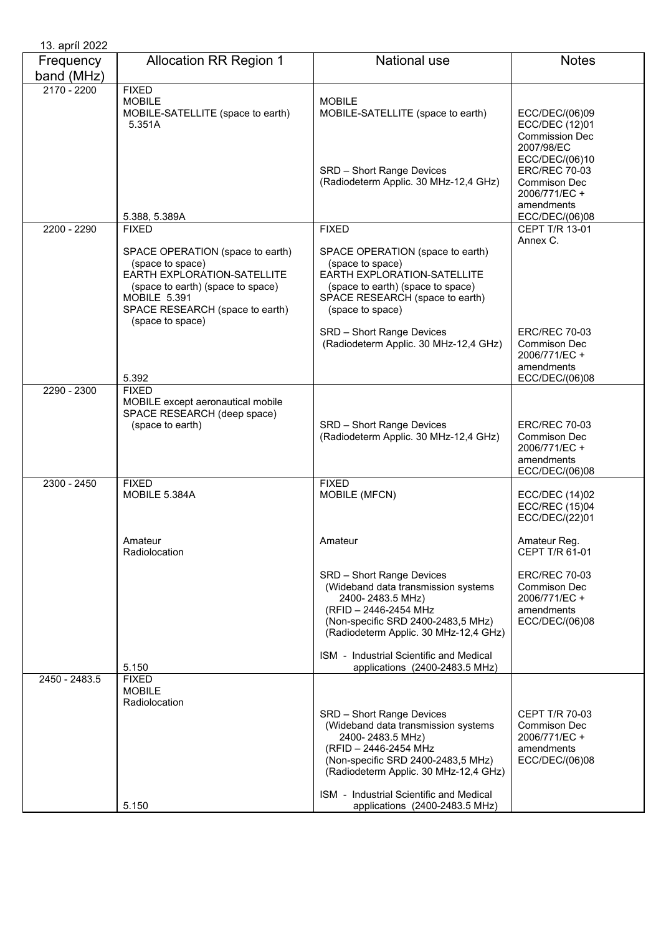| 13. apríl 2022          |                                                                                                                                                                                                        |                                                                                                                                                                                                                                                |                                                                                                         |
|-------------------------|--------------------------------------------------------------------------------------------------------------------------------------------------------------------------------------------------------|------------------------------------------------------------------------------------------------------------------------------------------------------------------------------------------------------------------------------------------------|---------------------------------------------------------------------------------------------------------|
| Frequency<br>band (MHz) | <b>Allocation RR Region 1</b>                                                                                                                                                                          | <b>National use</b>                                                                                                                                                                                                                            | <b>Notes</b>                                                                                            |
| $2170 - 2200$           | <b>FIXED</b><br><b>MOBILE</b><br>MOBILE-SATELLITE (space to earth)<br>5.351A                                                                                                                           | <b>MOBILE</b><br>MOBILE-SATELLITE (space to earth)                                                                                                                                                                                             | ECC/DEC/(06)09<br>ECC/DEC (12)01<br><b>Commission Dec</b><br>2007/98/EC                                 |
|                         | 5.388, 5.389A                                                                                                                                                                                          | SRD - Short Range Devices<br>(Radiodeterm Applic. 30 MHz-12,4 GHz)                                                                                                                                                                             | ECC/DEC/(06)10<br><b>ERC/REC 70-03</b><br>Commison Dec<br>2006/771/EC +<br>amendments<br>ECC/DEC/(06)08 |
| 2200 - 2290             | <b>FIXED</b>                                                                                                                                                                                           | <b>FIXED</b>                                                                                                                                                                                                                                   | CEPT T/R 13-01                                                                                          |
|                         | SPACE OPERATION (space to earth)<br>(space to space)<br>EARTH EXPLORATION-SATELLITE<br>(space to earth) (space to space)<br><b>MOBILE 5.391</b><br>SPACE RESEARCH (space to earth)<br>(space to space) | SPACE OPERATION (space to earth)<br>(space to space)<br>EARTH EXPLORATION-SATELLITE<br>(space to earth) (space to space)<br>SPACE RESEARCH (space to earth)<br>(space to space)                                                                | Annex C.                                                                                                |
|                         | 5.392                                                                                                                                                                                                  | SRD - Short Range Devices<br>(Radiodeterm Applic. 30 MHz-12,4 GHz)                                                                                                                                                                             | <b>ERC/REC 70-03</b><br>Commison Dec<br>2006/771/EC +<br>amendments<br>ECC/DEC/(06)08                   |
| 2290 - 2300             | <b>FIXED</b>                                                                                                                                                                                           |                                                                                                                                                                                                                                                |                                                                                                         |
|                         | MOBILE except aeronautical mobile<br>SPACE RESEARCH (deep space)<br>(space to earth)                                                                                                                   | SRD - Short Range Devices<br>(Radiodeterm Applic. 30 MHz-12,4 GHz)                                                                                                                                                                             | <b>ERC/REC 70-03</b><br>Commison Dec<br>2006/771/EC +<br>amendments<br>ECC/DEC/(06)08                   |
| 2300 - 2450             | <b>FIXED</b><br>MOBILE 5.384A                                                                                                                                                                          | <b>FIXED</b><br>MOBILE (MFCN)                                                                                                                                                                                                                  | <b>ECC/DEC (14)02</b><br><b>ECC/REC (15)04</b><br>ECC/DEC/(22)01                                        |
|                         | Amateur<br>Radiolocation                                                                                                                                                                               | Amateur                                                                                                                                                                                                                                        | Amateur Reg.<br>CEPT T/R 61-01                                                                          |
|                         |                                                                                                                                                                                                        | SRD - Short Range Devices<br>(Wideband data transmission systems<br>2400-2483.5 MHz)<br>(RFID - 2446-2454 MHz<br>(Non-specific SRD 2400-2483,5 MHz)<br>(Radiodeterm Applic. 30 MHz-12,4 GHz)                                                   | <b>ERC/REC 70-03</b><br>Commison Dec<br>2006/771/EC +<br>amendments<br>ECC/DEC/(06)08                   |
|                         | 5.150                                                                                                                                                                                                  | ISM - Industrial Scientific and Medical<br>applications (2400-2483.5 MHz)                                                                                                                                                                      |                                                                                                         |
| 2450 - 2483.5           | <b>FIXED</b><br><b>MOBILE</b><br>Radiolocation                                                                                                                                                         | SRD - Short Range Devices<br>(Wideband data transmission systems<br>2400-2483.5 MHz)<br>(RFID - 2446-2454 MHz<br>(Non-specific SRD 2400-2483,5 MHz)<br>(Radiodeterm Applic. 30 MHz-12,4 GHz)<br><b>ISM</b> - Industrial Scientific and Medical | <b>CEPT T/R 70-03</b><br>Commison Dec<br>2006/771/EC +<br>amendments<br>ECC/DEC/(06)08                  |
|                         | 5.150                                                                                                                                                                                                  | applications (2400-2483.5 MHz)                                                                                                                                                                                                                 |                                                                                                         |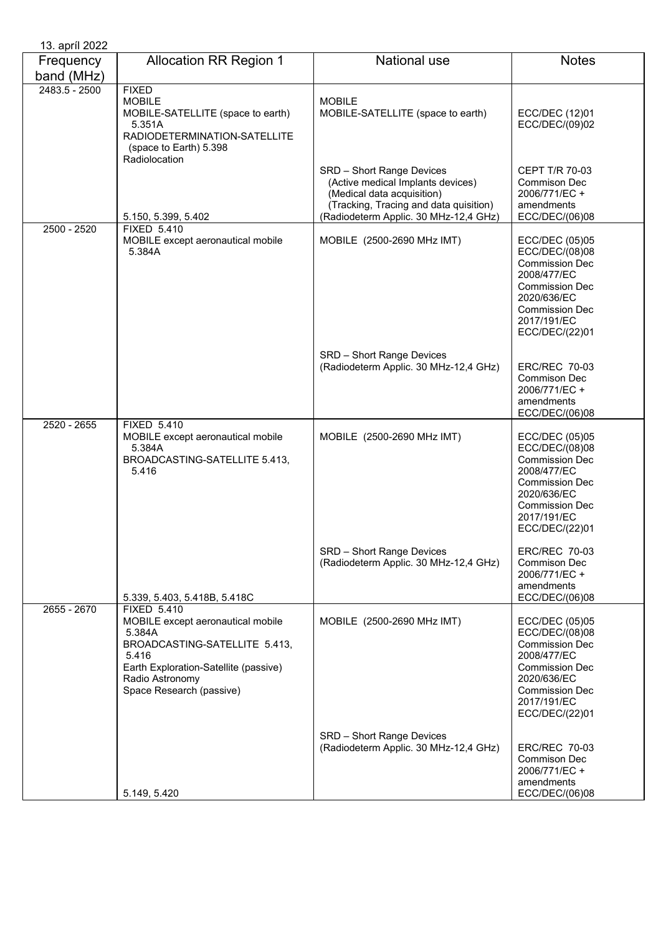| 13. apríl 2022          |                                                                                                                                                                                                     |                                                                                                                                                                                 |                                                                                                                                                                            |
|-------------------------|-----------------------------------------------------------------------------------------------------------------------------------------------------------------------------------------------------|---------------------------------------------------------------------------------------------------------------------------------------------------------------------------------|----------------------------------------------------------------------------------------------------------------------------------------------------------------------------|
| Frequency<br>band (MHz) | <b>Allocation RR Region 1</b>                                                                                                                                                                       | <b>National use</b>                                                                                                                                                             | <b>Notes</b>                                                                                                                                                               |
| 2483.5 - 2500           | <b>FIXED</b><br><b>MOBILE</b><br>MOBILE-SATELLITE (space to earth)<br>5.351A<br>RADIODETERMINATION-SATELLITE<br>(space to Earth) 5.398<br>Radiolocation                                             | <b>MOBILE</b><br>MOBILE-SATELLITE (space to earth)                                                                                                                              | ECC/DEC (12)01<br>ECC/DEC/(09)02                                                                                                                                           |
|                         | 5.150, 5.399, 5.402                                                                                                                                                                                 | SRD - Short Range Devices<br>(Active medical Implants devices)<br>(Medical data acquisition)<br>(Tracking, Tracing and data quisition)<br>(Radiodeterm Applic. 30 MHz-12,4 GHz) | CEPT T/R 70-03<br><b>Commison Dec</b><br>2006/771/EC+<br>amendments<br>ECC/DEC/(06)08                                                                                      |
| 2500 - 2520             | <b>FIXED 5.410</b><br>MOBILE except aeronautical mobile<br>5.384A                                                                                                                                   | MOBILE (2500-2690 MHz IMT)                                                                                                                                                      | ECC/DEC (05)05<br>ECC/DEC/(08)08<br><b>Commission Dec</b><br>2008/477/EC<br><b>Commission Dec</b><br>2020/636/EC<br><b>Commission Dec</b><br>2017/191/EC<br>ECC/DEC/(22)01 |
|                         |                                                                                                                                                                                                     | SRD - Short Range Devices<br>(Radiodeterm Applic. 30 MHz-12,4 GHz)                                                                                                              | ERC/REC 70-03<br><b>Commison Dec</b><br>2006/771/EC +<br>amendments<br>ECC/DEC/(06)08                                                                                      |
| 2520 - 2655             | <b>FIXED 5.410</b><br>MOBILE except aeronautical mobile<br>5.384A<br>BROADCASTING-SATELLITE 5.413,<br>5.416                                                                                         | MOBILE (2500-2690 MHz IMT)                                                                                                                                                      | ECC/DEC (05)05<br>ECC/DEC/(08)08<br><b>Commission Dec</b><br>2008/477/EC<br><b>Commission Dec</b><br>2020/636/EC<br><b>Commission Dec</b><br>2017/191/EC<br>ECC/DEC/(22)01 |
|                         | 5.339, 5.403, 5.418B, 5.418C                                                                                                                                                                        | SRD - Short Range Devices<br>(Radiodeterm Applic. 30 MHz-12,4 GHz)                                                                                                              | <b>ERC/REC 70-03</b><br>Commison Dec<br>2006/771/EC +<br>amendments<br>ECC/DEC/(06)08                                                                                      |
| 2655 - 2670             | <b>FIXED 5.410</b><br>MOBILE except aeronautical mobile<br>5.384A<br>BROADCASTING-SATELLITE 5.413,<br>5.416<br>Earth Exploration-Satellite (passive)<br>Radio Astronomy<br>Space Research (passive) | MOBILE (2500-2690 MHz IMT)                                                                                                                                                      | ECC/DEC (05)05<br>ECC/DEC/(08)08<br><b>Commission Dec</b><br>2008/477/EC<br><b>Commission Dec</b><br>2020/636/EC<br><b>Commission Dec</b><br>2017/191/EC<br>ECC/DEC/(22)01 |
|                         | 5.149, 5.420                                                                                                                                                                                        | SRD - Short Range Devices<br>(Radiodeterm Applic. 30 MHz-12,4 GHz)                                                                                                              | <b>ERC/REC 70-03</b><br><b>Commison Dec</b><br>2006/771/EC +<br>amendments<br>ECC/DEC/(06)08                                                                               |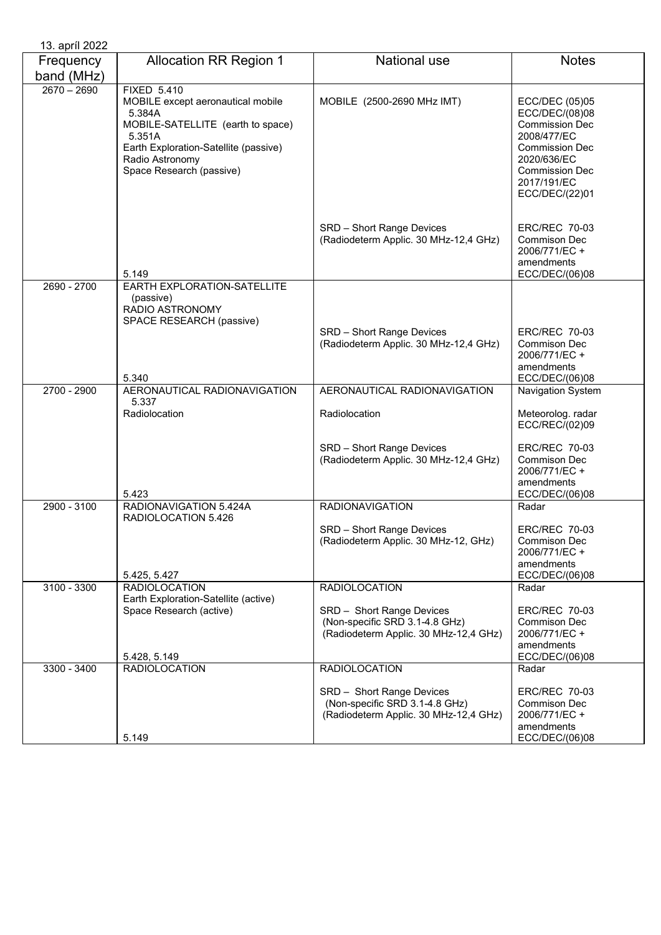| 13. apríl 2022          |                                                                                                                                                                                                          |                                                                                                      |                                                                                                                                                                            |
|-------------------------|----------------------------------------------------------------------------------------------------------------------------------------------------------------------------------------------------------|------------------------------------------------------------------------------------------------------|----------------------------------------------------------------------------------------------------------------------------------------------------------------------------|
| Frequency<br>band (MHz) | <b>Allocation RR Region 1</b>                                                                                                                                                                            | National use                                                                                         | <b>Notes</b>                                                                                                                                                               |
| $2670 - 2690$           | <b>FIXED 5.410</b><br>MOBILE except aeronautical mobile<br>5.384A<br>MOBILE-SATELLITE (earth to space)<br>5.351A<br>Earth Exploration-Satellite (passive)<br>Radio Astronomy<br>Space Research (passive) | MOBILE (2500-2690 MHz IMT)                                                                           | ECC/DEC (05)05<br>ECC/DEC/(08)08<br><b>Commission Dec</b><br>2008/477/EC<br><b>Commission Dec</b><br>2020/636/EC<br><b>Commission Dec</b><br>2017/191/EC<br>ECC/DEC/(22)01 |
|                         | 5.149                                                                                                                                                                                                    | SRD - Short Range Devices<br>(Radiodeterm Applic. 30 MHz-12,4 GHz)                                   | <b>ERC/REC 70-03</b><br><b>Commison Dec</b><br>2006/771/EC +<br>amendments<br>ECC/DEC/(06)08                                                                               |
| 2690 - 2700             | EARTH EXPLORATION-SATELLITE<br>(passive)<br>RADIO ASTRONOMY<br>SPACE RESEARCH (passive)                                                                                                                  |                                                                                                      |                                                                                                                                                                            |
|                         | 5.340                                                                                                                                                                                                    | SRD - Short Range Devices<br>(Radiodeterm Applic. 30 MHz-12,4 GHz)                                   | <b>ERC/REC 70-03</b><br>Commison Dec<br>2006/771/EC +<br>amendments<br>ECC/DEC/(06)08                                                                                      |
| 2700 - 2900             | AERONAUTICAL RADIONAVIGATION<br>5.337                                                                                                                                                                    | AERONAUTICAL RADIONAVIGATION                                                                         | Navigation System                                                                                                                                                          |
|                         | Radiolocation                                                                                                                                                                                            | Radiolocation                                                                                        | Meteorolog. radar<br>ECC/REC/(02)09                                                                                                                                        |
|                         | 5.423                                                                                                                                                                                                    | SRD - Short Range Devices<br>(Radiodeterm Applic. 30 MHz-12,4 GHz)                                   | <b>ERC/REC 70-03</b><br><b>Commison Dec</b><br>2006/771/EC +<br>amendments<br>ECC/DEC/(06)08                                                                               |
| 2900 - 3100             | RADIONAVIGATION 5.424A<br>RADIOLOCATION 5.426                                                                                                                                                            | <b>RADIONAVIGATION</b>                                                                               | Radar                                                                                                                                                                      |
|                         | 5.425, 5.427                                                                                                                                                                                             | SRD - Short Range Devices<br>(Radiodeterm Applic. 30 MHz-12, GHz)                                    | <b>ERC/REC 70-03</b><br><b>Commison Dec</b><br>2006/771/EC +<br>amendments<br>ECC/DEC/(06)08                                                                               |
| 3100 - 3300             | <b>RADIOLOCATION</b>                                                                                                                                                                                     | <b>RADIOLOCATION</b>                                                                                 | Radar                                                                                                                                                                      |
|                         | Earth Exploration-Satellite (active)<br>Space Research (active)                                                                                                                                          | SRD - Short Range Devices<br>(Non-specific SRD 3.1-4.8 GHz)<br>(Radiodeterm Applic. 30 MHz-12,4 GHz) | <b>ERC/REC 70-03</b><br>Commison Dec<br>2006/771/EC +<br>amendments                                                                                                        |
| $3300 - 3400$           | 5.428, 5.149<br><b>RADIOLOCATION</b>                                                                                                                                                                     | <b>RADIOLOCATION</b>                                                                                 | ECC/DEC/(06)08<br>Radar                                                                                                                                                    |
|                         | 5.149                                                                                                                                                                                                    | SRD - Short Range Devices<br>(Non-specific SRD 3.1-4.8 GHz)<br>(Radiodeterm Applic. 30 MHz-12,4 GHz) | <b>ERC/REC 70-03</b><br>Commison Dec<br>2006/771/EC +<br>amendments<br>ECC/DEC/(06)08                                                                                      |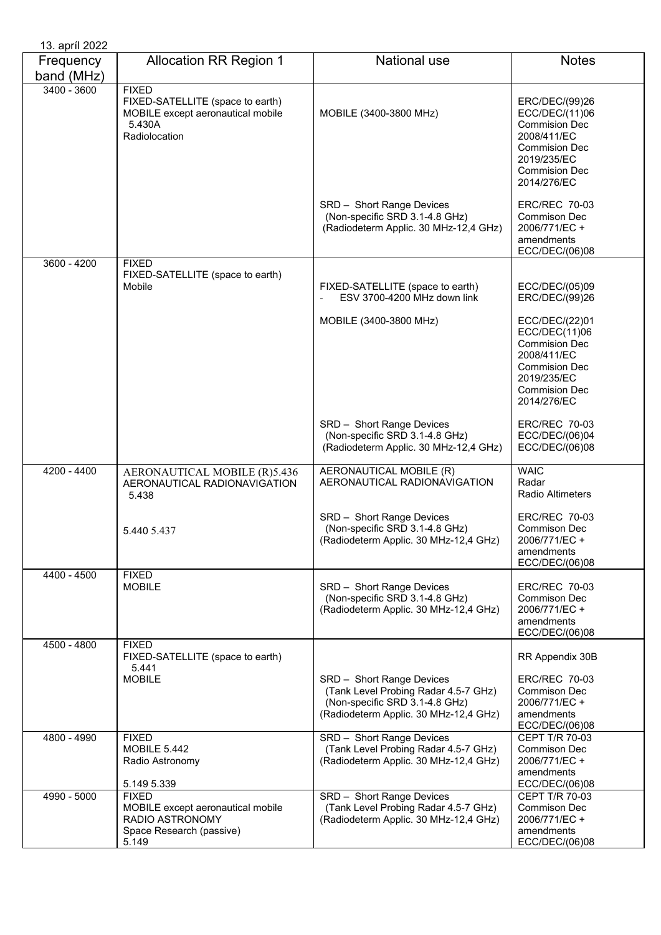| 13. april 2022          |                                                                                                                  |                                                                                                                                              |                                                                                                                                                       |
|-------------------------|------------------------------------------------------------------------------------------------------------------|----------------------------------------------------------------------------------------------------------------------------------------------|-------------------------------------------------------------------------------------------------------------------------------------------------------|
| Frequency<br>band (MHz) | <b>Allocation RR Region 1</b>                                                                                    | <b>National use</b>                                                                                                                          | <b>Notes</b>                                                                                                                                          |
| $3400 - 3600$           | <b>FIXED</b><br>FIXED-SATELLITE (space to earth)<br>MOBILE except aeronautical mobile<br>5.430A<br>Radiolocation | MOBILE (3400-3800 MHz)                                                                                                                       | ERC/DEC/(99)26<br>ECC/DEC/(11)06<br><b>Commision Dec</b><br>2008/411/EC<br><b>Commision Dec</b><br>2019/235/EC<br><b>Commision Dec</b><br>2014/276/EC |
|                         |                                                                                                                  | SRD - Short Range Devices<br>(Non-specific SRD 3.1-4.8 GHz)<br>(Radiodeterm Applic. 30 MHz-12,4 GHz)                                         | <b>ERC/REC 70-03</b><br><b>Commison Dec</b><br>2006/771/EC +<br>amendments<br>ECC/DEC/(06)08                                                          |
| $3600 - 4200$           | <b>FIXED</b>                                                                                                     |                                                                                                                                              |                                                                                                                                                       |
|                         | FIXED-SATELLITE (space to earth)<br>Mobile                                                                       | FIXED-SATELLITE (space to earth)<br>ESV 3700-4200 MHz down link                                                                              | ECC/DEC/(05)09<br>ERC/DEC/(99)26                                                                                                                      |
|                         |                                                                                                                  | MOBILE (3400-3800 MHz)                                                                                                                       | ECC/DEC/(22)01<br>ECC/DEC(11)06<br><b>Commision Dec</b><br>2008/411/EC<br><b>Commision Dec</b><br>2019/235/EC<br><b>Commision Dec</b><br>2014/276/EC  |
|                         |                                                                                                                  | SRD - Short Range Devices<br>(Non-specific SRD 3.1-4.8 GHz)<br>(Radiodeterm Applic. 30 MHz-12,4 GHz)                                         | <b>ERC/REC 70-03</b><br>ECC/DEC/(06)04<br>ECC/DEC/(06)08                                                                                              |
| 4200 - 4400             | AERONAUTICAL MOBILE (R)5.436<br>AERONAUTICAL RADIONAVIGATION<br>5.438                                            | AERONAUTICAL MOBILE (R)<br>AERONAUTICAL RADIONAVIGATION                                                                                      | <b>WAIC</b><br>Radar<br><b>Radio Altimeters</b>                                                                                                       |
|                         | 5.440 5.437                                                                                                      | SRD - Short Range Devices<br>(Non-specific SRD 3.1-4.8 GHz)<br>(Radiodeterm Applic. 30 MHz-12,4 GHz)                                         | <b>ERC/REC 70-03</b><br><b>Commison Dec</b><br>2006/771/EC +<br>amendments<br>ECC/DEC/(06)08                                                          |
| 4400 - 4500             | <b>FIXED</b><br><b>MOBILE</b>                                                                                    | SRD - Short Range Devices<br>(Non-specific SRD 3.1-4.8 GHz)<br>(Radiodeterm Applic. 30 MHz-12,4 GHz)                                         | <b>ERC/REC 70-03</b><br>Commison Dec<br>2006/771/EC +<br>amendments<br>ECC/DEC/(06)08                                                                 |
| 4500 - 4800             | <b>FIXED</b><br>FIXED-SATELLITE (space to earth)                                                                 |                                                                                                                                              | RR Appendix 30B                                                                                                                                       |
|                         | 5.441<br><b>MOBILE</b>                                                                                           | SRD - Short Range Devices<br>(Tank Level Probing Radar 4.5-7 GHz)<br>(Non-specific SRD 3.1-4.8 GHz)<br>(Radiodeterm Applic. 30 MHz-12,4 GHz) | <b>ERC/REC 70-03</b><br>Commison Dec<br>2006/771/EC +<br>amendments<br>ECC/DEC/(06)08                                                                 |
| 4800 - 4990             | <b>FIXED</b><br><b>MOBILE 5.442</b><br>Radio Astronomy<br>5.149 5.339                                            | SRD - Short Range Devices<br>(Tank Level Probing Radar 4.5-7 GHz)<br>(Radiodeterm Applic. 30 MHz-12,4 GHz)                                   | CEPT T/R 70-03<br>Commison Dec<br>2006/771/EC +<br>amendments<br>ECC/DEC/(06)08                                                                       |
| 4990 - 5000             | <b>FIXED</b><br>MOBILE except aeronautical mobile<br>RADIO ASTRONOMY<br>Space Research (passive)<br>5.149        | SRD - Short Range Devices<br>(Tank Level Probing Radar 4.5-7 GHz)<br>(Radiodeterm Applic. 30 MHz-12,4 GHz)                                   | CEPT T/R 70-03<br>Commison Dec<br>2006/771/EC +<br>amendments<br>ECC/DEC/(06)08                                                                       |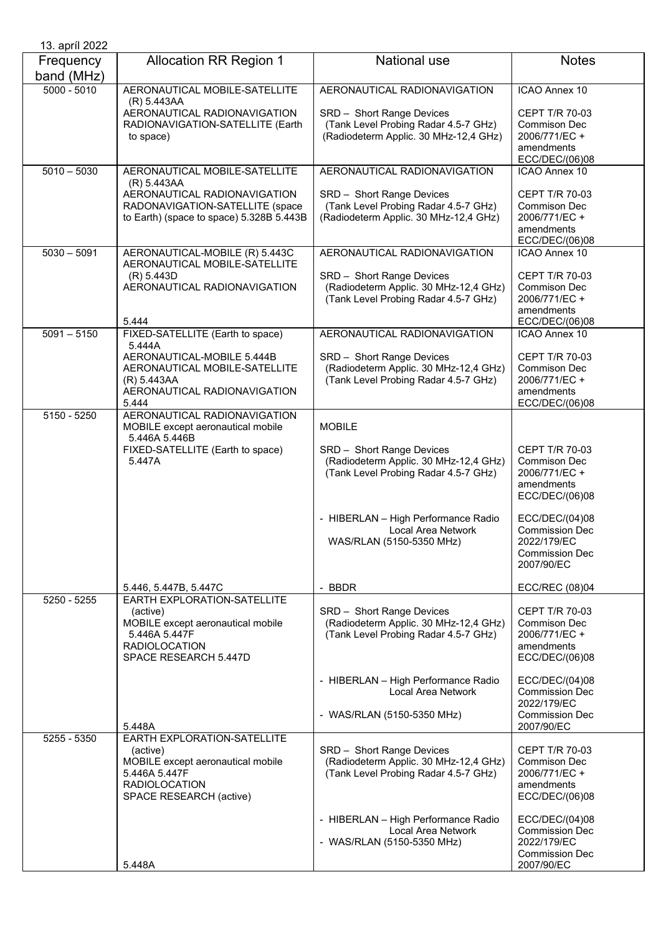| 13. apríl 2022          |                                                                                                                                                  |                                                                                                            |                                                                                               |
|-------------------------|--------------------------------------------------------------------------------------------------------------------------------------------------|------------------------------------------------------------------------------------------------------------|-----------------------------------------------------------------------------------------------|
| Frequency<br>band (MHz) | <b>Allocation RR Region 1</b>                                                                                                                    | <b>National use</b>                                                                                        | <b>Notes</b>                                                                                  |
| $5000 - 5010$           | AERONAUTICAL MOBILE-SATELLITE                                                                                                                    | AERONAUTICAL RADIONAVIGATION                                                                               | ICAO Annex 10                                                                                 |
|                         | (R) 5.443AA<br>AERONAUTICAL RADIONAVIGATION<br>RADIONAVIGATION-SATELLITE (Earth<br>to space)                                                     | SRD - Short Range Devices<br>(Tank Level Probing Radar 4.5-7 GHz)<br>(Radiodeterm Applic. 30 MHz-12,4 GHz) | <b>CEPT T/R 70-03</b><br><b>Commison Dec</b><br>2006/771/EC +<br>amendments<br>ECC/DEC/(06)08 |
| $5010 - 5030$           | AERONAUTICAL MOBILE-SATELLITE                                                                                                                    | AERONAUTICAL RADIONAVIGATION                                                                               | ICAO Annex 10                                                                                 |
|                         | (R) 5.443AA<br>AERONAUTICAL RADIONAVIGATION<br>RADONAVIGATION-SATELLITE (space<br>to Earth) (space to space) 5.328B 5.443B                       | SRD - Short Range Devices<br>(Tank Level Probing Radar 4.5-7 GHz)<br>(Radiodeterm Applic. 30 MHz-12,4 GHz) | <b>CEPT T/R 70-03</b><br>Commison Dec<br>2006/771/EC +<br>amendments<br>ECC/DEC/(06)08        |
| $5030 - 5091$           | AERONAUTICAL-MOBILE (R) 5.443C                                                                                                                   | AERONAUTICAL RADIONAVIGATION                                                                               | <b>ICAO Annex 10</b>                                                                          |
|                         | AERONAUTICAL MOBILE-SATELLITE<br>(R) 5.443D<br>AERONAUTICAL RADIONAVIGATION<br>5.444                                                             | SRD - Short Range Devices<br>(Radiodeterm Applic. 30 MHz-12,4 GHz)<br>(Tank Level Probing Radar 4.5-7 GHz) | <b>CEPT T/R 70-03</b><br>Commison Dec<br>2006/771/EC +<br>amendments<br>ECC/DEC/(06)08        |
| $5091 - 5150$           | FIXED-SATELLITE (Earth to space)<br>5.444A                                                                                                       | AERONAUTICAL RADIONAVIGATION                                                                               | <b>ICAO Annex 10</b>                                                                          |
|                         | AERONAUTICAL-MOBILE 5.444B<br>AERONAUTICAL MOBILE-SATELLITE<br>(R) 5.443AA<br>AERONAUTICAL RADIONAVIGATION<br>5.444                              | SRD - Short Range Devices<br>(Radiodeterm Applic. 30 MHz-12,4 GHz)<br>(Tank Level Probing Radar 4.5-7 GHz) | <b>CEPT T/R 70-03</b><br>Commison Dec<br>2006/771/EC +<br>amendments<br>ECC/DEC/(06)08        |
| $5150 - 5250$           | AERONAUTICAL RADIONAVIGATION<br>MOBILE except aeronautical mobile<br>5.446A 5.446B                                                               | <b>MOBILE</b>                                                                                              |                                                                                               |
|                         | FIXED-SATELLITE (Earth to space)<br>5.447A                                                                                                       | SRD - Short Range Devices<br>(Radiodeterm Applic. 30 MHz-12,4 GHz)<br>(Tank Level Probing Radar 4.5-7 GHz) | <b>CEPT T/R 70-03</b><br><b>Commison Dec</b><br>2006/771/EC +<br>amendments<br>ECC/DEC/(06)08 |
|                         |                                                                                                                                                  | - HIBERLAN - High Performance Radio<br>Local Area Network<br>WAS/RLAN (5150-5350 MHz)                      | ECC/DEC/(04)08<br><b>Commission Dec</b><br>2022/179/EC<br><b>Commission Dec</b><br>2007/90/EC |
|                         | 5.446, 5.447B, 5.447C                                                                                                                            | - BBDR                                                                                                     | ECC/REC (08)04                                                                                |
| 5250 - 5255             | EARTH EXPLORATION-SATELLITE<br>(active)<br>MOBILE except aeronautical mobile<br>5.446A 5.447F<br><b>RADIOLOCATION</b><br>SPACE RESEARCH 5.447D   | SRD - Short Range Devices<br>(Radiodeterm Applic. 30 MHz-12,4 GHz)<br>(Tank Level Probing Radar 4.5-7 GHz) | <b>CEPT T/R 70-03</b><br>Commison Dec<br>2006/771/EC +<br>amendments<br>ECC/DEC/(06)08        |
|                         |                                                                                                                                                  | - HIBERLAN - High Performance Radio<br><b>Local Area Network</b>                                           | ECC/DEC/(04)08<br><b>Commission Dec</b><br>2022/179/EC                                        |
|                         | 5.448A                                                                                                                                           | - WAS/RLAN (5150-5350 MHz)                                                                                 | <b>Commission Dec</b><br>2007/90/EC                                                           |
| 5255 - 5350             | EARTH EXPLORATION-SATELLITE<br>(active)<br>MOBILE except aeronautical mobile<br>5.446A 5.447F<br><b>RADIOLOCATION</b><br>SPACE RESEARCH (active) | SRD - Short Range Devices<br>(Radiodeterm Applic. 30 MHz-12,4 GHz)<br>(Tank Level Probing Radar 4.5-7 GHz) | <b>CEPT T/R 70-03</b><br>Commison Dec<br>2006/771/EC +<br>amendments<br>ECC/DEC/(06)08        |
|                         | 5.448A                                                                                                                                           | - HIBERLAN - High Performance Radio<br>Local Area Network<br>- WAS/RLAN (5150-5350 MHz)                    | ECC/DEC/(04)08<br><b>Commission Dec</b><br>2022/179/EC<br><b>Commission Dec</b><br>2007/90/EC |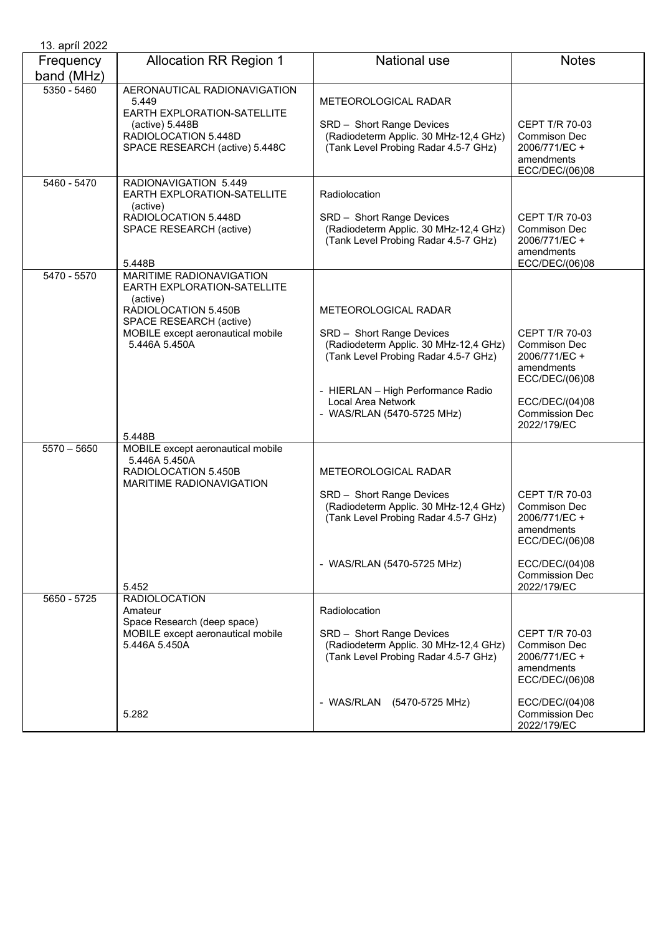| 13. apríl 2022          |                                                                                                                                                                                               |                                                                                                                                                                                                                              |                                                                                                                                                 |
|-------------------------|-----------------------------------------------------------------------------------------------------------------------------------------------------------------------------------------------|------------------------------------------------------------------------------------------------------------------------------------------------------------------------------------------------------------------------------|-------------------------------------------------------------------------------------------------------------------------------------------------|
| Frequency<br>band (MHz) | <b>Allocation RR Region 1</b>                                                                                                                                                                 | <b>National use</b>                                                                                                                                                                                                          | <b>Notes</b>                                                                                                                                    |
| 5350 - 5460             | AERONAUTICAL RADIONAVIGATION<br>5.449<br>EARTH EXPLORATION-SATELLITE<br>(active) 5.448B<br>RADIOLOCATION 5.448D<br>SPACE RESEARCH (active) 5.448C                                             | METEOROLOGICAL RADAR<br>SRD - Short Range Devices<br>(Radiodeterm Applic. 30 MHz-12,4 GHz)<br>(Tank Level Probing Radar 4.5-7 GHz)                                                                                           | <b>CEPT T/R 70-03</b><br><b>Commison Dec</b><br>2006/771/EC +<br>amendments<br>ECC/DEC/(06)08                                                   |
| 5460 - 5470             | RADIONAVIGATION 5.449<br>EARTH EXPLORATION-SATELLITE<br>(active)<br>RADIOLOCATION 5.448D<br>SPACE RESEARCH (active)<br>5.448B                                                                 | Radiolocation<br>SRD - Short Range Devices<br>(Radiodeterm Applic. 30 MHz-12,4 GHz)<br>(Tank Level Probing Radar 4.5-7 GHz)                                                                                                  | <b>CEPT T/R 70-03</b><br><b>Commison Dec</b><br>2006/771/EC +<br>amendments<br>ECC/DEC/(06)08                                                   |
| 5470 - 5570             | <b>MARITIME RADIONAVIGATION</b><br>EARTH EXPLORATION-SATELLITE<br>(active)<br>RADIOLOCATION 5.450B<br>SPACE RESEARCH (active)<br>MOBILE except aeronautical mobile<br>5.446A 5.450A<br>5.448B | METEOROLOGICAL RADAR<br>SRD - Short Range Devices<br>(Radiodeterm Applic. 30 MHz-12,4 GHz)<br>(Tank Level Probing Radar 4.5-7 GHz)<br>- HIERLAN - High Performance Radio<br>Local Area Network<br>- WAS/RLAN (5470-5725 MHz) | CEPT T/R 70-03<br>Commison Dec<br>2006/771/EC +<br>amendments<br>ECC/DEC/(06)08<br>ECC/DEC/(04)08<br>Commission Dec<br>2022/179/EC              |
| $5570 - 5650$           | MOBILE except aeronautical mobile<br>5.446A 5.450A<br>RADIOLOCATION 5.450B<br>MARITIME RADIONAVIGATION<br>5.452                                                                               | METEOROLOGICAL RADAR<br>SRD - Short Range Devices<br>(Radiodeterm Applic. 30 MHz-12,4 GHz)<br>(Tank Level Probing Radar 4.5-7 GHz)<br>- WAS/RLAN (5470-5725 MHz)                                                             | CEPT T/R 70-03<br><b>Commison Dec</b><br>2006/771/EC+<br>amendments<br>ECC/DEC/(06)08<br>ECC/DEC/(04)08<br><b>Commission Dec</b><br>2022/179/EC |
| 5650 - 5725             | <b>RADIOLOCATION</b><br>Amateur<br>Space Research (deep space)<br>MOBILE except aeronautical mobile<br>5.446A 5.450A<br>5.282                                                                 | Radiolocation<br>SRD - Short Range Devices<br>(Radiodeterm Applic. 30 MHz-12,4 GHz)<br>(Tank Level Probing Radar 4.5-7 GHz)<br>- WAS/RLAN<br>(5470-5725 MHz)                                                                 | CEPT T/R 70-03<br>Commison Dec<br>2006/771/EC +<br>amendments<br>ECC/DEC/(06)08<br>ECC/DEC/(04)08<br><b>Commission Dec</b><br>2022/179/EC       |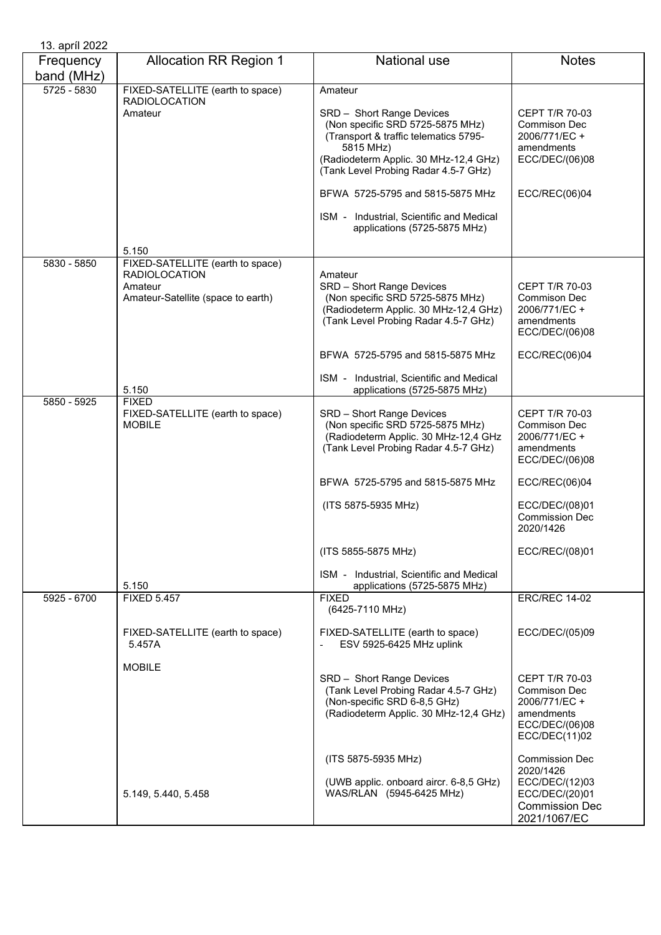| 13. apríl 2022          |                                                                                                           |                                                                                                                                                                                                                 |                                                                                                                 |
|-------------------------|-----------------------------------------------------------------------------------------------------------|-----------------------------------------------------------------------------------------------------------------------------------------------------------------------------------------------------------------|-----------------------------------------------------------------------------------------------------------------|
| Frequency<br>band (MHz) | <b>Allocation RR Region 1</b>                                                                             | National use                                                                                                                                                                                                    | <b>Notes</b>                                                                                                    |
| 5725 - 5830             | FIXED-SATELLITE (earth to space)<br><b>RADIOLOCATION</b><br>Amateur                                       | Amateur<br>SRD - Short Range Devices<br>(Non specific SRD 5725-5875 MHz)<br>(Transport & traffic telematics 5795-<br>5815 MHz)<br>(Radiodeterm Applic. 30 MHz-12,4 GHz)<br>(Tank Level Probing Radar 4.5-7 GHz) | <b>CEPT T/R 70-03</b><br>Commison Dec<br>2006/771/EC +<br>amendments<br>ECC/DEC/(06)08                          |
|                         |                                                                                                           | BFWA 5725-5795 and 5815-5875 MHz                                                                                                                                                                                | ECC/REC(06)04                                                                                                   |
|                         |                                                                                                           | ISM - Industrial, Scientific and Medical<br>applications (5725-5875 MHz)                                                                                                                                        |                                                                                                                 |
|                         | 5.150                                                                                                     |                                                                                                                                                                                                                 |                                                                                                                 |
| 5830 - 5850             | FIXED-SATELLITE (earth to space)<br><b>RADIOLOCATION</b><br>Amateur<br>Amateur-Satellite (space to earth) | Amateur<br>SRD - Short Range Devices<br>(Non specific SRD 5725-5875 MHz)<br>(Radiodeterm Applic. 30 MHz-12,4 GHz)<br>(Tank Level Probing Radar 4.5-7 GHz)                                                       | <b>CEPT T/R 70-03</b><br><b>Commison Dec</b><br>2006/771/EC +<br>amendments<br>ECC/DEC/(06)08                   |
|                         |                                                                                                           | BFWA 5725-5795 and 5815-5875 MHz                                                                                                                                                                                | ECC/REC(06)04                                                                                                   |
|                         | 5.150                                                                                                     | ISM - Industrial, Scientific and Medical<br>applications (5725-5875 MHz)                                                                                                                                        |                                                                                                                 |
| 5850 - 5925             | <b>FIXED</b><br>FIXED-SATELLITE (earth to space)<br><b>MOBILE</b>                                         | SRD - Short Range Devices<br>(Non specific SRD 5725-5875 MHz)<br>(Radiodeterm Applic. 30 MHz-12,4 GHz<br>(Tank Level Probing Radar 4.5-7 GHz)                                                                   | <b>CEPT T/R 70-03</b><br><b>Commison Dec</b><br>2006/771/EC +<br>amendments<br>ECC/DEC/(06)08                   |
|                         |                                                                                                           | BFWA 5725-5795 and 5815-5875 MHz                                                                                                                                                                                | ECC/REC(06)04                                                                                                   |
|                         |                                                                                                           | (ITS 5875-5935 MHz)                                                                                                                                                                                             | ECC/DEC/(08)01<br><b>Commission Dec</b><br>2020/1426                                                            |
|                         |                                                                                                           | (ITS 5855-5875 MHz)                                                                                                                                                                                             | ECC/REC/(08)01                                                                                                  |
|                         | 5.150                                                                                                     | ISM - Industrial, Scientific and Medical<br>applications (5725-5875 MHz)                                                                                                                                        |                                                                                                                 |
| 5925 - 6700             | <b>FIXED 5.457</b>                                                                                        | <b>FIXED</b><br>(6425-7110 MHz)                                                                                                                                                                                 | <b>ERC/REC 14-02</b>                                                                                            |
|                         | FIXED-SATELLITE (earth to space)<br>5.457A                                                                | FIXED-SATELLITE (earth to space)<br>ESV 5925-6425 MHz uplink                                                                                                                                                    | ECC/DEC/(05)09                                                                                                  |
|                         | <b>MOBILE</b>                                                                                             | SRD - Short Range Devices<br>(Tank Level Probing Radar 4.5-7 GHz)<br>(Non-specific SRD 6-8,5 GHz)<br>(Radiodeterm Applic. 30 MHz-12,4 GHz)                                                                      | <b>CEPT T/R 70-03</b><br>Commison Dec<br>2006/771/EC +<br>amendments<br>ECC/DEC/(06)08<br>ECC/DEC(11)02         |
|                         | 5.149, 5.440, 5.458                                                                                       | (ITS 5875-5935 MHz)<br>(UWB applic. onboard aircr. 6-8,5 GHz)<br>WAS/RLAN (5945-6425 MHz)                                                                                                                       | <b>Commission Dec</b><br>2020/1426<br>ECC/DEC/(12)03<br>ECC/DEC/(20)01<br><b>Commission Dec</b><br>2021/1067/EC |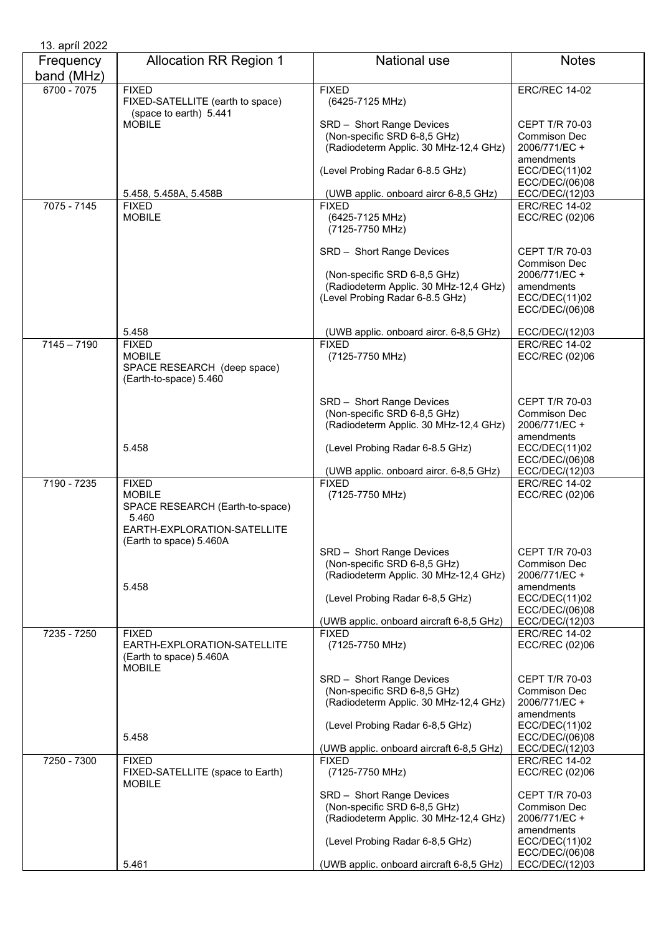| 13. apríl 2022 |                                                                            |                                                           |                                       |
|----------------|----------------------------------------------------------------------------|-----------------------------------------------------------|---------------------------------------|
| Frequency      | <b>Allocation RR Region 1</b>                                              | National use                                              | <b>Notes</b>                          |
| band (MHz)     |                                                                            |                                                           |                                       |
| 6700 - 7075    | <b>FIXED</b><br>FIXED-SATELLITE (earth to space)<br>(space to earth) 5.441 | <b>FIXED</b><br>(6425-7125 MHz)                           | <b>ERC/REC 14-02</b>                  |
|                | <b>MOBILE</b>                                                              | SRD - Short Range Devices                                 | <b>CEPT T/R 70-03</b>                 |
|                |                                                                            | (Non-specific SRD 6-8,5 GHz)                              | Commison Dec                          |
|                |                                                                            | (Radiodeterm Applic. 30 MHz-12,4 GHz)                     | 2006/771/EC +                         |
|                |                                                                            |                                                           | amendments                            |
|                |                                                                            | (Level Probing Radar 6-8.5 GHz)                           | ECC/DEC(11)02                         |
|                |                                                                            |                                                           | ECC/DEC/(06)08                        |
|                | 5.458, 5.458A, 5.458B                                                      | (UWB applic. onboard aircr 6-8,5 GHz)                     | ECC/DEC/(12)03                        |
| 7075 - 7145    | <b>FIXED</b>                                                               | <b>FIXED</b>                                              | <b>ERC/REC 14-02</b>                  |
|                | <b>MOBILE</b>                                                              | (6425-7125 MHz)                                           | ECC/REC (02)06                        |
|                |                                                                            | (7125-7750 MHz)                                           |                                       |
|                |                                                                            |                                                           |                                       |
|                |                                                                            | SRD - Short Range Devices                                 | CEPT T/R 70-03                        |
|                |                                                                            |                                                           | <b>Commison Dec</b>                   |
|                |                                                                            | (Non-specific SRD 6-8,5 GHz)                              | 2006/771/EC +                         |
|                |                                                                            | (Radiodeterm Applic. 30 MHz-12,4 GHz)                     | amendments                            |
|                |                                                                            | (Level Probing Radar 6-8.5 GHz)                           | ECC/DEC(11)02                         |
|                |                                                                            |                                                           | ECC/DEC/(06)08                        |
|                |                                                                            |                                                           |                                       |
|                | 5.458                                                                      | (UWB applic. onboard aircr. 6-8,5 GHz)                    | ECC/DEC/(12)03                        |
| $7145 - 7190$  | <b>FIXED</b>                                                               | <b>FIXED</b>                                              | <b>ERC/REC 14-02</b>                  |
|                | <b>MOBILE</b>                                                              | (7125-7750 MHz)                                           | ECC/REC (02)06                        |
|                | SPACE RESEARCH (deep space)                                                |                                                           |                                       |
|                | (Earth-to-space) 5.460                                                     |                                                           |                                       |
|                |                                                                            |                                                           |                                       |
|                |                                                                            | SRD - Short Range Devices<br>(Non-specific SRD 6-8,5 GHz) | <b>CEPT T/R 70-03</b><br>Commison Dec |
|                |                                                                            | (Radiodeterm Applic. 30 MHz-12,4 GHz)                     | 2006/771/EC +                         |
|                |                                                                            |                                                           | amendments                            |
|                | 5.458                                                                      | (Level Probing Radar 6-8.5 GHz)                           | ECC/DEC(11)02                         |
|                |                                                                            |                                                           | ECC/DEC/(06)08                        |
|                |                                                                            | (UWB applic. onboard aircr. 6-8,5 GHz)                    | ECC/DEC/(12)03                        |
| 7190 - 7235    | <b>FIXED</b>                                                               | <b>FIXED</b>                                              | <b>ERC/REC 14-02</b>                  |
|                | <b>MOBILE</b>                                                              | (7125-7750 MHz)                                           | ECC/REC (02)06                        |
|                | SPACE RESEARCH (Earth-to-space)                                            |                                                           |                                       |
|                | 5.460                                                                      |                                                           |                                       |
|                | EARTH-EXPLORATION-SATELLITE                                                |                                                           |                                       |
|                | (Earth to space) 5.460A                                                    |                                                           |                                       |
|                |                                                                            | SRD - Short Range Devices                                 | <b>CEPT T/R 70-03</b>                 |
|                |                                                                            | (Non-specific SRD 6-8,5 GHz)                              | Commison Dec                          |
|                | 5.458                                                                      | (Radiodeterm Applic. 30 MHz-12,4 GHz)                     | 2006/771/EC +<br>amendments           |
|                |                                                                            | (Level Probing Radar 6-8,5 GHz)                           | ECC/DEC(11)02                         |
|                |                                                                            |                                                           | ECC/DEC/(06)08                        |
|                |                                                                            | (UWB applic. onboard aircraft 6-8,5 GHz)                  | ECC/DEC/(12)03                        |
| 7235 - 7250    | <b>FIXED</b>                                                               | <b>FIXED</b>                                              | <b>ERC/REC 14-02</b>                  |
|                | EARTH-EXPLORATION-SATELLITE                                                | (7125-7750 MHz)                                           | ECC/REC (02)06                        |
|                | (Earth to space) 5.460A                                                    |                                                           |                                       |
|                | <b>MOBILE</b>                                                              |                                                           |                                       |
|                |                                                                            | SRD - Short Range Devices                                 | <b>CEPT T/R 70-03</b>                 |
|                |                                                                            | (Non-specific SRD 6-8,5 GHz)                              | Commison Dec                          |
|                |                                                                            | (Radiodeterm Applic. 30 MHz-12,4 GHz)                     | 2006/771/EC +                         |
|                |                                                                            |                                                           | amendments                            |
|                |                                                                            | (Level Probing Radar 6-8,5 GHz)                           | ECC/DEC(11)02                         |
|                | 5.458                                                                      | (UWB applic. onboard aircraft 6-8,5 GHz)                  | ECC/DEC/(06)08<br>ECC/DEC/(12)03      |
| 7250 - 7300    | <b>FIXED</b>                                                               | <b>FIXED</b>                                              | <b>ERC/REC 14-02</b>                  |
|                | FIXED-SATELLITE (space to Earth)                                           | (7125-7750 MHz)                                           | ECC/REC (02)06                        |
|                | <b>MOBILE</b>                                                              |                                                           |                                       |
|                |                                                                            | SRD - Short Range Devices                                 | CEPT T/R 70-03                        |
|                |                                                                            | (Non-specific SRD 6-8,5 GHz)                              | Commison Dec                          |
|                |                                                                            | (Radiodeterm Applic. 30 MHz-12,4 GHz)                     | 2006/771/EC +                         |
|                |                                                                            |                                                           | amendments                            |
|                |                                                                            | (Level Probing Radar 6-8,5 GHz)                           | ECC/DEC(11)02                         |
|                |                                                                            |                                                           | ECC/DEC/(06)08                        |
|                | 5.461                                                                      | (UWB applic. onboard aircraft 6-8,5 GHz)                  | ECC/DEC/(12)03                        |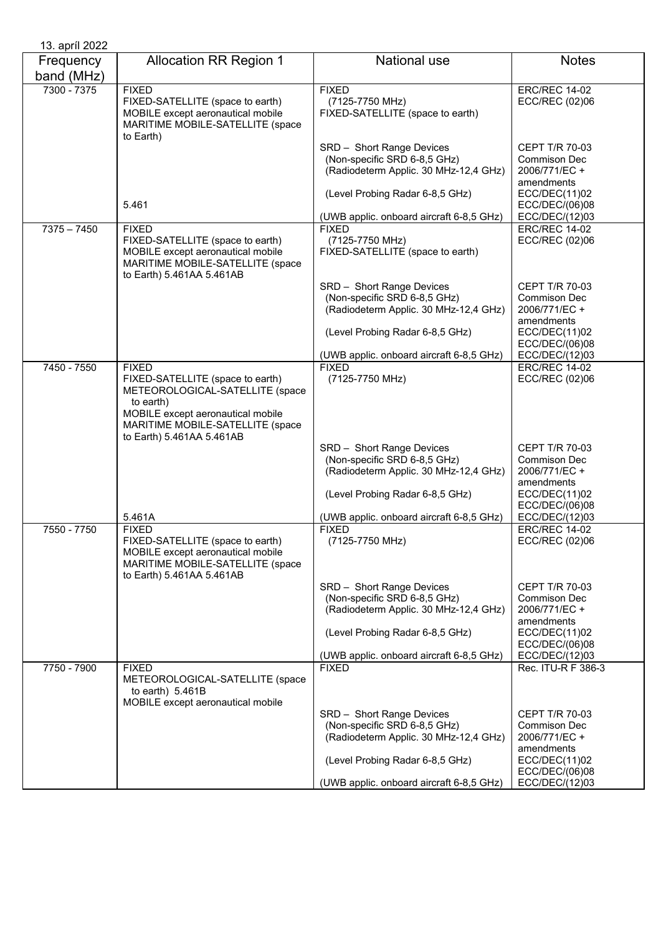| 13. apríl 2022          |                                                                                                                                                        |                                                                                                    |                                                                             |
|-------------------------|--------------------------------------------------------------------------------------------------------------------------------------------------------|----------------------------------------------------------------------------------------------------|-----------------------------------------------------------------------------|
| Frequency<br>band (MHz) | <b>Allocation RR Region 1</b>                                                                                                                          | <b>National use</b>                                                                                | <b>Notes</b>                                                                |
| 7300 - 7375             | <b>FIXED</b><br>FIXED-SATELLITE (space to earth)<br>MOBILE except aeronautical mobile<br>MARITIME MOBILE-SATELLITE (space<br>to Earth)                 | <b>FIXED</b><br>(7125-7750 MHz)<br>FIXED-SATELLITE (space to earth)                                | <b>ERC/REC 14-02</b><br>ECC/REC (02)06                                      |
|                         |                                                                                                                                                        | SRD - Short Range Devices<br>(Non-specific SRD 6-8,5 GHz)<br>(Radiodeterm Applic. 30 MHz-12,4 GHz) | <b>CEPT T/R 70-03</b><br>Commison Dec<br>2006/771/EC +<br>amendments        |
|                         | 5.461                                                                                                                                                  | (Level Probing Radar 6-8,5 GHz)                                                                    | ECC/DEC(11)02<br>ECC/DEC/(06)08                                             |
|                         |                                                                                                                                                        | (UWB applic. onboard aircraft 6-8,5 GHz)                                                           | ECC/DEC/(12)03                                                              |
| $7375 - 7450$           | <b>FIXED</b><br>FIXED-SATELLITE (space to earth)<br>MOBILE except aeronautical mobile<br>MARITIME MOBILE-SATELLITE (space<br>to Earth) 5.461AA 5.461AB | <b>FIXED</b><br>(7125-7750 MHz)<br>FIXED-SATELLITE (space to earth)                                | <b>ERC/REC 14-02</b><br>ECC/REC (02)06                                      |
|                         |                                                                                                                                                        | SRD - Short Range Devices<br>(Non-specific SRD 6-8,5 GHz)<br>(Radiodeterm Applic. 30 MHz-12,4 GHz) | <b>CEPT T/R 70-03</b><br><b>Commison Dec</b><br>2006/771/EC +<br>amendments |
|                         |                                                                                                                                                        | (Level Probing Radar 6-8,5 GHz)                                                                    | ECC/DEC(11)02<br>ECC/DEC/(06)08                                             |
|                         |                                                                                                                                                        | (UWB applic. onboard aircraft 6-8,5 GHz)<br><b>FIXED</b>                                           | ECC/DEC/(12)03<br><b>ERC/REC 14-02</b>                                      |
| 7450 - 7550             | <b>FIXED</b><br>FIXED-SATELLITE (space to earth)<br>METEOROLOGICAL-SATELLITE (space                                                                    | (7125-7750 MHz)                                                                                    | ECC/REC (02)06                                                              |
|                         | to earth)<br>MOBILE except aeronautical mobile<br>MARITIME MOBILE-SATELLITE (space<br>to Earth) 5.461AA 5.461AB                                        |                                                                                                    |                                                                             |
|                         |                                                                                                                                                        | SRD - Short Range Devices<br>(Non-specific SRD 6-8,5 GHz)<br>(Radiodeterm Applic. 30 MHz-12,4 GHz) | <b>CEPT T/R 70-03</b><br>Commison Dec<br>2006/771/EC +<br>amendments        |
|                         | 5.461A                                                                                                                                                 | (Level Probing Radar 6-8,5 GHz)<br>(UWB applic. onboard aircraft 6-8,5 GHz)                        | ECC/DEC(11)02<br>ECC/DEC/(06)08<br>ECC/DEC/(12)03                           |
| 7550 - 7750             | <b>FIXED</b>                                                                                                                                           | <b>FIXED</b>                                                                                       | <b>ERC/REC 14-02</b>                                                        |
|                         | FIXED-SATELLITE (space to earth)<br>MOBILE except aeronautical mobile<br>MARITIME MOBILE-SATELLITE (space<br>to Earth) 5.461AA 5.461AB                 | (7125-7750 MHz)                                                                                    | ECC/REC (02)06                                                              |
|                         |                                                                                                                                                        | SRD - Short Range Devices                                                                          | CEPT T/R 70-03                                                              |
|                         |                                                                                                                                                        | (Non-specific SRD 6-8,5 GHz)                                                                       | Commison Dec                                                                |
|                         |                                                                                                                                                        | (Radiodeterm Applic. 30 MHz-12,4 GHz)                                                              | 2006/771/EC +                                                               |
|                         |                                                                                                                                                        | (Level Probing Radar 6-8,5 GHz)                                                                    | amendments<br>ECC/DEC(11)02<br>ECC/DEC/(06)08                               |
|                         |                                                                                                                                                        | (UWB applic. onboard aircraft 6-8,5 GHz)                                                           | ECC/DEC/(12)03                                                              |
| 7750 - 7900             | <b>FIXED</b><br>METEOROLOGICAL-SATELLITE (space<br>to earth) $5.461B$<br>MOBILE except aeronautical mobile                                             | <b>FIXED</b>                                                                                       | Rec. ITU-R F 386-3                                                          |
|                         |                                                                                                                                                        | SRD - Short Range Devices<br>(Non-specific SRD 6-8,5 GHz)<br>(Radiodeterm Applic. 30 MHz-12,4 GHz) | <b>CEPT T/R 70-03</b><br>Commison Dec<br>2006/771/EC +<br>amendments        |
|                         |                                                                                                                                                        | (Level Probing Radar 6-8,5 GHz)                                                                    | ECC/DEC(11)02<br>ECC/DEC/(06)08                                             |
|                         |                                                                                                                                                        | (UWB applic. onboard aircraft 6-8,5 GHz)                                                           | ECC/DEC/(12)03                                                              |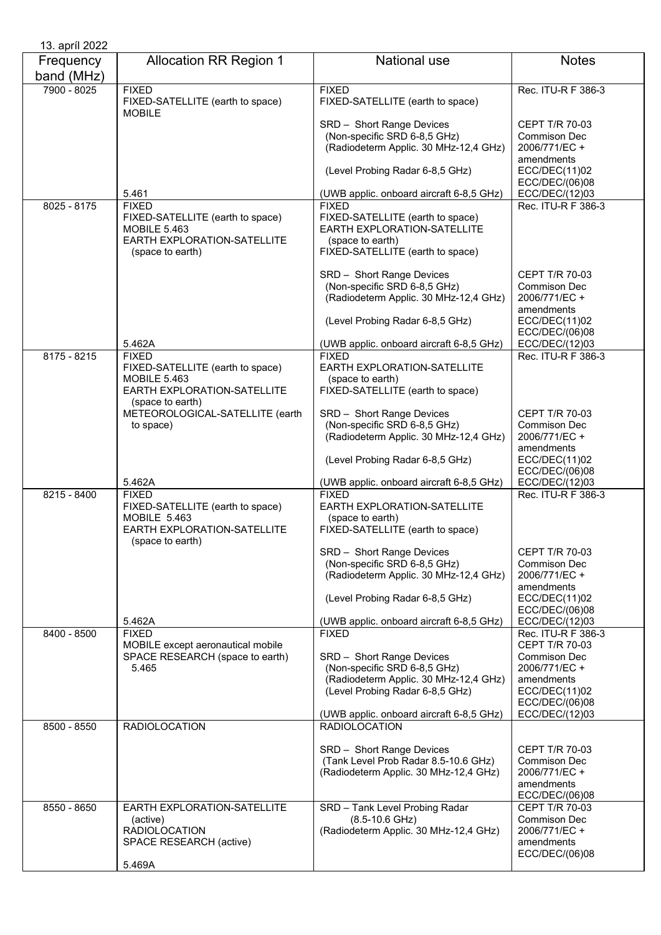| 13. apríl 2022          |                                                                                                                            |                                                                                                                                                                                   |                                                                                                  |
|-------------------------|----------------------------------------------------------------------------------------------------------------------------|-----------------------------------------------------------------------------------------------------------------------------------------------------------------------------------|--------------------------------------------------------------------------------------------------|
| Frequency<br>band (MHz) | <b>Allocation RR Region 1</b>                                                                                              | <b>National use</b>                                                                                                                                                               | <b>Notes</b>                                                                                     |
| 7900 - 8025             | <b>FIXED</b><br>FIXED-SATELLITE (earth to space)<br><b>MOBILE</b>                                                          | <b>FIXED</b><br>FIXED-SATELLITE (earth to space)                                                                                                                                  | Rec. ITU-R F 386-3                                                                               |
|                         |                                                                                                                            | SRD - Short Range Devices<br>(Non-specific SRD 6-8,5 GHz)<br>(Radiodeterm Applic. 30 MHz-12,4 GHz)                                                                                | CEPT T/R 70-03<br>Commison Dec<br>2006/771/EC +<br>amendments                                    |
|                         |                                                                                                                            | (Level Probing Radar 6-8,5 GHz)                                                                                                                                                   | ECC/DEC(11)02<br>ECC/DEC/(06)08                                                                  |
|                         | 5.461                                                                                                                      | (UWB applic. onboard aircraft 6-8,5 GHz)                                                                                                                                          | ECC/DEC/(12)03                                                                                   |
| $8025 - 8175$           | <b>FIXED</b><br>FIXED-SATELLITE (earth to space)<br><b>MOBILE 5.463</b><br>EARTH EXPLORATION-SATELLITE<br>(space to earth) | <b>FIXED</b><br>FIXED-SATELLITE (earth to space)<br>EARTH EXPLORATION-SATELLITE<br>(space to earth)<br>FIXED-SATELLITE (earth to space)                                           | Rec. ITU-R F 386-3                                                                               |
|                         |                                                                                                                            | SRD - Short Range Devices<br>(Non-specific SRD 6-8,5 GHz)<br>(Radiodeterm Applic. 30 MHz-12,4 GHz)<br>(Level Probing Radar 6-8,5 GHz)                                             | CEPT T/R 70-03<br>Commison Dec<br>2006/771/EC +<br>amendments<br>ECC/DEC(11)02<br>ECC/DEC/(06)08 |
|                         | 5.462A                                                                                                                     | (UWB applic. onboard aircraft 6-8,5 GHz)                                                                                                                                          | ECC/DEC/(12)03                                                                                   |
| 8175 - 8215             | <b>FIXED</b><br>FIXED-SATELLITE (earth to space)<br><b>MOBILE 5.463</b><br>EARTH EXPLORATION-SATELLITE                     | <b>FIXED</b><br>EARTH EXPLORATION-SATELLITE<br>(space to earth)<br>FIXED-SATELLITE (earth to space)                                                                               | Rec. ITU-R F 386-3                                                                               |
|                         | (space to earth)<br>METEOROLOGICAL-SATELLITE (earth<br>to space)                                                           | SRD - Short Range Devices<br>(Non-specific SRD 6-8,5 GHz)<br>(Radiodeterm Applic. 30 MHz-12,4 GHz)<br>(Level Probing Radar 6-8,5 GHz)                                             | <b>CEPT T/R 70-03</b><br>Commison Dec<br>2006/771/EC +<br>amendments<br>ECC/DEC(11)02            |
|                         | 5.462A                                                                                                                     | (UWB applic. onboard aircraft 6-8,5 GHz)                                                                                                                                          | ECC/DEC/(06)08<br>ECC/DEC/(12)03                                                                 |
| $8215 - 8400$           | <b>FIXED</b><br>FIXED-SATELLITE (earth to space)<br>MOBILE 5.463<br>EARTH EXPLORATION-SATELLITE<br>(space to earth)        | <b>FIXED</b><br>EARTH EXPLORATION-SATELLITE<br>(space to earth)<br>FIXED-SATELLITE (earth to space)                                                                               | Rec. ITU-R F 386-3                                                                               |
|                         |                                                                                                                            | SRD - Short Range Devices<br>(Non-specific SRD 6-8,5 GHz)<br>(Radiodeterm Applic. 30 MHz-12,4 GHz)<br>(Level Probing Radar 6-8,5 GHz)                                             | CEPT T/R 70-03<br>Commison Dec<br>2006/771/EC +<br>amendments<br>ECC/DEC(11)02                   |
|                         | 5.462A                                                                                                                     | (UWB applic. onboard aircraft 6-8,5 GHz)                                                                                                                                          | ECC/DEC/(06)08<br>ECC/DEC/(12)03                                                                 |
| 8400 - 8500             | <b>FIXED</b><br>MOBILE except aeronautical mobile                                                                          | <b>FIXED</b>                                                                                                                                                                      | Rec. ITU-R F 386-3<br><b>CEPT T/R 70-03</b>                                                      |
|                         | SPACE RESEARCH (space to earth)<br>5.465                                                                                   | SRD - Short Range Devices<br>(Non-specific SRD 6-8,5 GHz)<br>(Radiodeterm Applic. 30 MHz-12,4 GHz)<br>(Level Probing Radar 6-8,5 GHz)<br>(UWB applic. onboard aircraft 6-8,5 GHz) | Commison Dec<br>2006/771/EC +<br>amendments<br>ECC/DEC(11)02<br>ECC/DEC/(06)08<br>ECC/DEC/(12)03 |
| $8500 - 8550$           | <b>RADIOLOCATION</b>                                                                                                       | <b>RADIOLOCATION</b>                                                                                                                                                              |                                                                                                  |
|                         |                                                                                                                            | SRD - Short Range Devices<br>(Tank Level Prob Radar 8.5-10.6 GHz)<br>(Radiodeterm Applic. 30 MHz-12,4 GHz)                                                                        | CEPT T/R 70-03<br>Commison Dec<br>2006/771/EC +<br>amendments<br>ECC/DEC/(06)08                  |
| 8550 - 8650             | EARTH EXPLORATION-SATELLITE<br>(active)<br><b>RADIOLOCATION</b><br>SPACE RESEARCH (active)                                 | SRD - Tank Level Probing Radar<br>$(8.5 - 10.6$ GHz)<br>(Radiodeterm Applic. 30 MHz-12,4 GHz)                                                                                     | CEPT T/R 70-03<br>Commison Dec<br>2006/771/EC +<br>amendments<br>ECC/DEC/(06)08                  |
|                         | 5.469A                                                                                                                     |                                                                                                                                                                                   |                                                                                                  |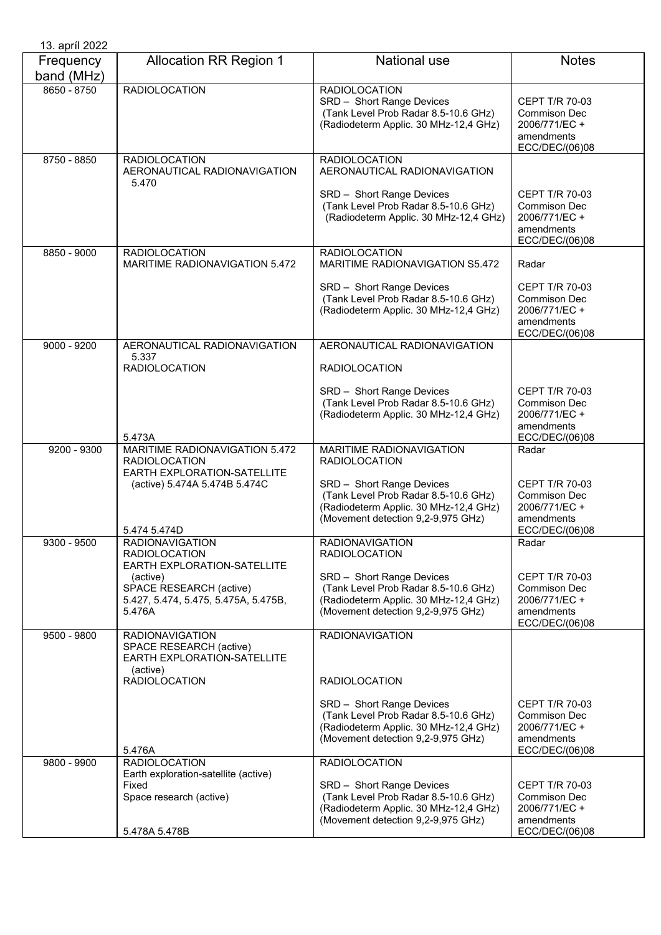| 13. apríl 2022          |                                                                                              |                                                                                                                                                  |                                                                                               |
|-------------------------|----------------------------------------------------------------------------------------------|--------------------------------------------------------------------------------------------------------------------------------------------------|-----------------------------------------------------------------------------------------------|
| Frequency<br>band (MHz) | <b>Allocation RR Region 1</b>                                                                | <b>National use</b>                                                                                                                              | <b>Notes</b>                                                                                  |
| 8650 - 8750             | <b>RADIOLOCATION</b>                                                                         | <b>RADIOLOCATION</b><br>SRD - Short Range Devices<br>(Tank Level Prob Radar 8.5-10.6 GHz)<br>(Radiodeterm Applic. 30 MHz-12,4 GHz)               | <b>CEPT T/R 70-03</b><br><b>Commison Dec</b><br>2006/771/EC +<br>amendments<br>ECC/DEC/(06)08 |
| 8750 - 8850             | <b>RADIOLOCATION</b><br>AERONAUTICAL RADIONAVIGATION<br>5.470                                | <b>RADIOLOCATION</b><br>AERONAUTICAL RADIONAVIGATION                                                                                             |                                                                                               |
|                         |                                                                                              | SRD - Short Range Devices<br>(Tank Level Prob Radar 8.5-10.6 GHz)<br>(Radiodeterm Applic. 30 MHz-12,4 GHz)                                       | <b>CEPT T/R 70-03</b><br>Commison Dec<br>2006/771/EC +<br>amendments<br>ECC/DEC/(06)08        |
| 8850 - 9000             | <b>RADIOLOCATION</b><br>MARITIME RADIONAVIGATION 5.472                                       | <b>RADIOLOCATION</b><br>MARITIME RADIONAVIGATION S5.472                                                                                          | Radar                                                                                         |
|                         |                                                                                              | SRD - Short Range Devices<br>(Tank Level Prob Radar 8.5-10.6 GHz)<br>(Radiodeterm Applic. 30 MHz-12,4 GHz)                                       | <b>CEPT T/R 70-03</b><br><b>Commison Dec</b><br>2006/771/EC +<br>amendments<br>ECC/DEC/(06)08 |
| $9000 - 9200$           | AERONAUTICAL RADIONAVIGATION<br>5.337                                                        | AERONAUTICAL RADIONAVIGATION                                                                                                                     |                                                                                               |
|                         | <b>RADIOLOCATION</b>                                                                         | <b>RADIOLOCATION</b>                                                                                                                             |                                                                                               |
|                         | 5.473A                                                                                       | SRD - Short Range Devices<br>(Tank Level Prob Radar 8.5-10.6 GHz)<br>(Radiodeterm Applic. 30 MHz-12,4 GHz)                                       | <b>CEPT T/R 70-03</b><br><b>Commison Dec</b><br>2006/771/EC +<br>amendments<br>ECC/DEC/(06)08 |
| 9200 - 9300             | MARITIME RADIONAVIGATION 5.472<br><b>RADIOLOCATION</b>                                       | <b>MARITIME RADIONAVIGATION</b><br><b>RADIOLOCATION</b>                                                                                          | Radar                                                                                         |
|                         | EARTH EXPLORATION-SATELLITE<br>(active) 5.474A 5.474B 5.474C<br>5.474 5.474D                 | SRD - Short Range Devices<br>(Tank Level Prob Radar 8.5-10.6 GHz)<br>(Radiodeterm Applic. 30 MHz-12,4 GHz)<br>(Movement detection 9,2-9,975 GHz) | <b>CEPT T/R 70-03</b><br>Commison Dec<br>2006/771/EC +<br>amendments<br>ECC/DEC/(06)08        |
| 9300 - 9500             | <b>RADIONAVIGATION</b>                                                                       | <b>RADIONAVIGATION</b>                                                                                                                           | Radar                                                                                         |
|                         | <b>RADIOLOCATION</b><br>EARTH EXPLORATION-SATELLITE                                          | <b>RADIOLOCATION</b>                                                                                                                             |                                                                                               |
|                         | (active)<br>SPACE RESEARCH (active)<br>5.427, 5.474, 5.475, 5.475A, 5.475B,<br>5.476A        | SRD - Short Range Devices<br>(Tank Level Prob Radar 8.5-10.6 GHz)<br>(Radiodeterm Applic. 30 MHz-12,4 GHz)<br>(Movement detection 9,2-9,975 GHz) | <b>CEPT T/R 70-03</b><br>Commison Dec<br>2006/771/EC +<br>amendments<br>ECC/DEC/(06)08        |
| 9500 - 9800             | <b>RADIONAVIGATION</b><br>SPACE RESEARCH (active)<br>EARTH EXPLORATION-SATELLITE<br>(active) | <b>RADIONAVIGATION</b>                                                                                                                           |                                                                                               |
|                         | <b>RADIOLOCATION</b>                                                                         | <b>RADIOLOCATION</b>                                                                                                                             |                                                                                               |
|                         | 5.476A                                                                                       | SRD - Short Range Devices<br>(Tank Level Prob Radar 8.5-10.6 GHz)<br>(Radiodeterm Applic. 30 MHz-12,4 GHz)<br>(Movement detection 9,2-9,975 GHz) | <b>CEPT T/R 70-03</b><br>Commison Dec<br>2006/771/EC +<br>amendments<br>ECC/DEC/(06)08        |
| 9800 - 9900             | <b>RADIOLOCATION</b><br>Earth exploration-satellite (active)                                 | <b>RADIOLOCATION</b>                                                                                                                             |                                                                                               |
|                         | Fixed<br>Space research (active)<br>5.478A 5.478B                                            | SRD - Short Range Devices<br>(Tank Level Prob Radar 8.5-10.6 GHz)<br>(Radiodeterm Applic. 30 MHz-12,4 GHz)<br>(Movement detection 9,2-9,975 GHz) | <b>CEPT T/R 70-03</b><br>Commison Dec<br>2006/771/EC +<br>amendments<br>ECC/DEC/(06)08        |
|                         |                                                                                              |                                                                                                                                                  |                                                                                               |